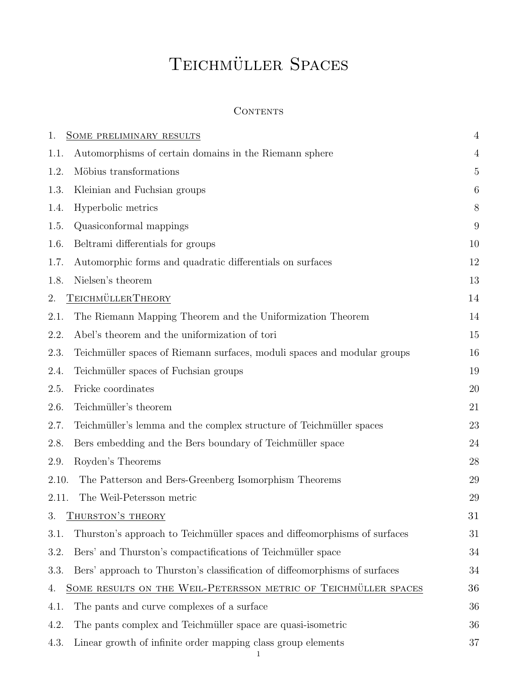# TEICHMÜLLER SPACES

## **CONTENTS**

| 1.                                                                          | SOME PRELIMINARY RESULTS                                                   | $\overline{4}$ |  |  |
|-----------------------------------------------------------------------------|----------------------------------------------------------------------------|----------------|--|--|
| 1.1.                                                                        | Automorphisms of certain domains in the Riemann sphere                     |                |  |  |
| 1.2.                                                                        | Möbius transformations                                                     |                |  |  |
| 1.3.                                                                        | Kleinian and Fuchsian groups                                               |                |  |  |
| 1.4.                                                                        | Hyperbolic metrics                                                         |                |  |  |
| 1.5.                                                                        | Quasiconformal mappings                                                    |                |  |  |
| 1.6.                                                                        | Beltrami differentials for groups                                          | 10             |  |  |
| 1.7.                                                                        | Automorphic forms and quadratic differentials on surfaces                  | 12             |  |  |
| 1.8.                                                                        | Nielsen's theorem                                                          | 13             |  |  |
| TEICHMÜLLERTHEORY<br>2.                                                     |                                                                            |                |  |  |
| 2.1.                                                                        | The Riemann Mapping Theorem and the Uniformization Theorem                 | 14             |  |  |
| 2.2.                                                                        | Abel's theorem and the uniformization of tori                              | 15             |  |  |
| 2.3.                                                                        | Teichmüller spaces of Riemann surfaces, moduli spaces and modular groups   | 16             |  |  |
| 2.4.                                                                        | Teichmüller spaces of Fuchsian groups                                      | 19             |  |  |
| 2.5.                                                                        | Fricke coordinates                                                         | 20             |  |  |
| 2.6.                                                                        | Teichmüller's theorem                                                      | 21             |  |  |
| 2.7.                                                                        | Teichmüller's lemma and the complex structure of Teichmüller spaces        | 23             |  |  |
| 2.8.                                                                        | Bers embedding and the Bers boundary of Teichmüller space                  | 24             |  |  |
| 2.9.                                                                        | Royden's Theorems                                                          | 28             |  |  |
| 2.10.                                                                       | The Patterson and Bers-Greenberg Isomorphism Theorems                      | 29             |  |  |
| 2.11.                                                                       | The Weil-Petersson metric                                                  | 29             |  |  |
| 3. THURSTON'S THEORY                                                        |                                                                            |                |  |  |
| 3.1.                                                                        | Thurston's approach to Teichmüller spaces and diffeomorphisms of surfaces  | 31             |  |  |
| 3.2.                                                                        | Bers' and Thurston's compactifications of Teichmüller space                | 34             |  |  |
| 3.3.                                                                        | Bers' approach to Thurston's classification of diffeomorphisms of surfaces | 34             |  |  |
| SOME RESULTS ON THE WEIL-PETERSSON METRIC OF TEICHMÜLLER SPACES<br>36<br>4. |                                                                            |                |  |  |
| 4.1.                                                                        | The pants and curve complexes of a surface                                 | 36             |  |  |
| 4.2.                                                                        | The pants complex and Teichmüller space are quasi-isometric                | 36             |  |  |
| 4.3.                                                                        | Linear growth of infinite order mapping class group elements               | 37             |  |  |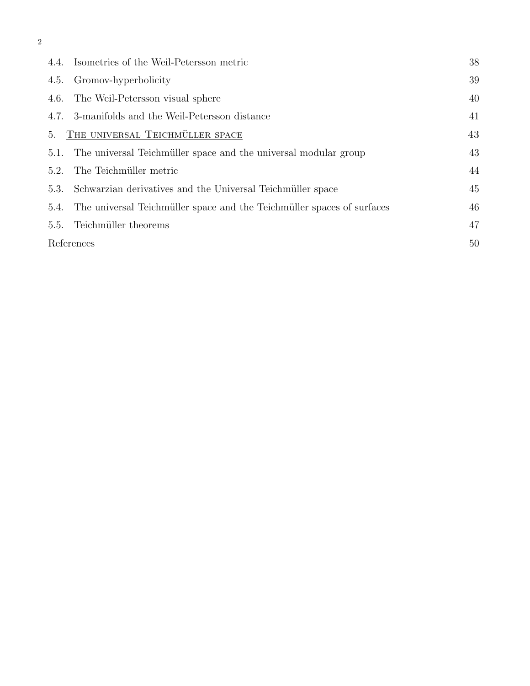|            | 4.4. Isometries of the Weil-Petersson metric                           | 38 |
|------------|------------------------------------------------------------------------|----|
| 4.5.       | Gromov-hyperbolicity                                                   | 39 |
|            | 4.6. The Weil-Petersson visual sphere                                  | 40 |
|            | 4.7. 3-manifolds and the Weil-Petersson distance                       | 41 |
| 5.         | THE UNIVERSAL TEICHMÜLLER SPACE                                        | 43 |
| 5.1.       | The universal Teichmüller space and the universal modular group        | 43 |
| 5.2.       | The Teichmüller metric                                                 | 44 |
| 5.3.       | Schwarzian derivatives and the Universal Teichmüller space             | 45 |
| 5.4.       | The universal Teichmüller space and the Teichmüller spaces of surfaces | 46 |
| 5.5.       | Teichmüller theorems                                                   | 47 |
| References |                                                                        | 50 |
|            |                                                                        |    |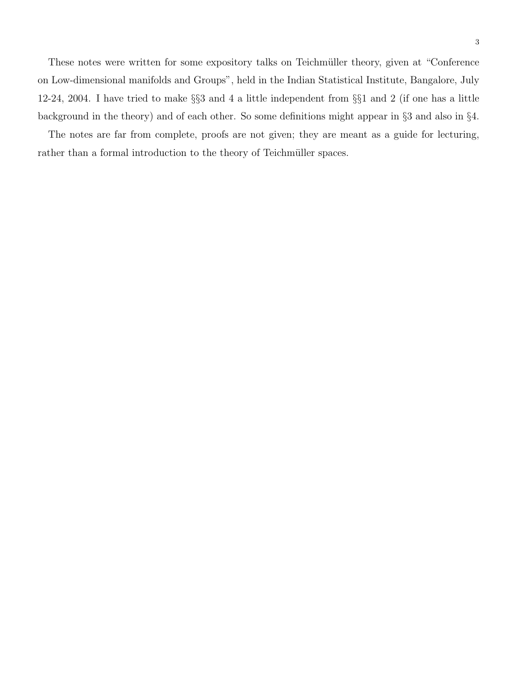These notes were written for some expository talks on Teichmüller theory, given at "Conference" on Low-dimensional manifolds and Groups", held in the Indian Statistical Institute, Bangalore, July 12-24, 2004. I have tried to make §§3 and 4 a little independent from §§1 and 2 (if one has a little background in the theory) and of each other. So some definitions might appear in §3 and also in §4.

The notes are far from complete, proofs are not given; they are meant as a guide for lecturing, rather than a formal introduction to the theory of Teichmüller spaces.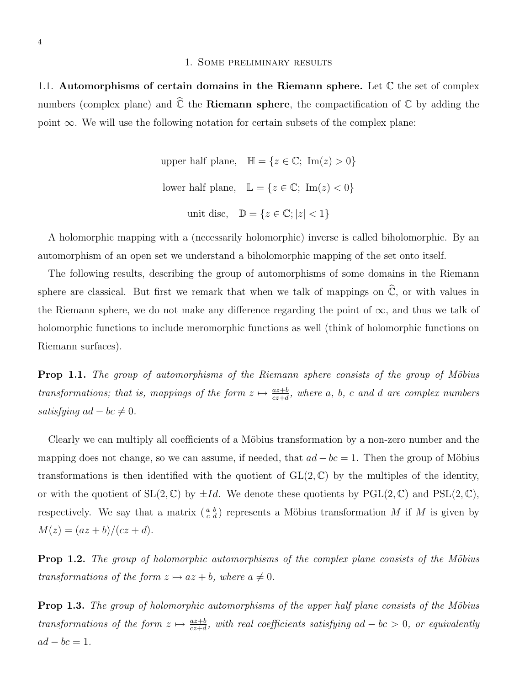#### 1. Some preliminary results

1.1. Automorphisms of certain domains in the Riemann sphere. Let  $\mathbb C$  the set of complex numbers (complex plane) and  $\hat{\mathbb{C}}$  the **Riemann sphere**, the compactification of  $\mathbb{C}$  by adding the point  $\infty$ . We will use the following notation for certain subsets of the complex plane:

```
upper half plane, \mathbb{H} = \{z \in \mathbb{C}; \text{ Im}(z) > 0\}lower half plane, \mathbb{L} = \{z \in \mathbb{C}; \operatorname{Im}(z) < 0\}unit disc, \mathbb{D} = \{z \in \mathbb{C}; |z| < 1\}
```
A holomorphic mapping with a (necessarily holomorphic) inverse is called biholomorphic. By an automorphism of an open set we understand a biholomorphic mapping of the set onto itself.

The following results, describing the group of automorphisms of some domains in the Riemann sphere are classical. But first we remark that when we talk of mappings on  $\hat{\mathbb{C}}$ , or with values in the Riemann sphere, we do not make any difference regarding the point of  $\infty$ , and thus we talk of holomorphic functions to include meromorphic functions as well (think of holomorphic functions on Riemann surfaces).

**Prop 1.1.** The group of automorphisms of the Riemann sphere consists of the group of Möbius transformations; that is, mappings of the form  $z \mapsto \frac{az+b}{cz+d}$ , where a, b, c and d are complex numbers satisfying  $ad - bc \neq 0$ .

Clearly we can multiply all coefficients of a Möbius transformation by a non-zero number and the mapping does not change, so we can assume, if needed, that  $ad - bc = 1$ . Then the group of Möbius transformations is then identified with the quotient of  $GL(2,\mathbb{C})$  by the multiples of the identity, or with the quotient of  $SL(2,\mathbb{C})$  by  $\pm Id$ . We denote these quotients by  $PGL(2,\mathbb{C})$  and  $PSL(2,\mathbb{C})$ , respectively. We say that a matrix  $\binom{a}{c}\ell$  represents a Möbius transformation M if M is given by  $M(z) = (az + b)/(cz + d).$ 

**Prop 1.2.** The group of holomorphic automorphisms of the complex plane consists of the Möbius transformations of the form  $z \mapsto az + b$ , where  $a \neq 0$ .

**Prop 1.3.** The group of holomorphic automorphisms of the upper half plane consists of the Möbius transformations of the form  $z \mapsto \frac{az+b}{cz+d}$ , with real coefficients satisfying ad – bc > 0, or equivalently  $ad - bc = 1.$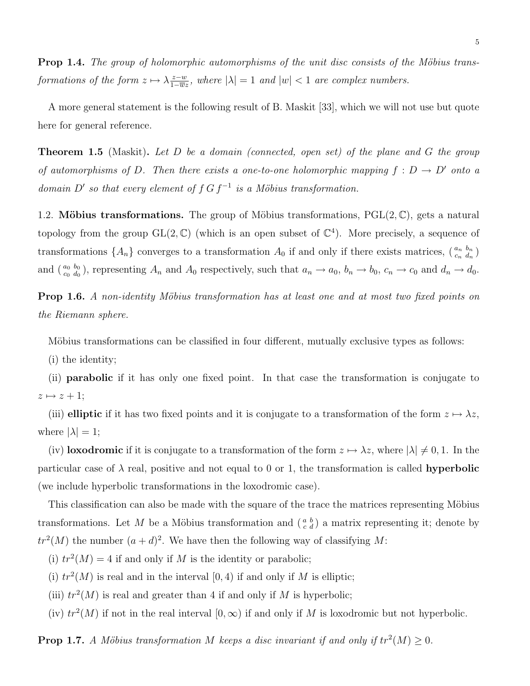**Prop 1.4.** The group of holomorphic automorphisms of the unit disc consists of the Möbius transformations of the form  $z \mapsto \lambda \frac{z-w}{1-\overline{w}}$  $\frac{z-w}{1-\overline{w}z}$ , where  $|\lambda|=1$  and  $|w|<1$  are complex numbers.

A more general statement is the following result of B. Maskit [33], which we will not use but quote here for general reference.

**Theorem 1.5** (Maskit). Let D be a domain (connected, open set) of the plane and G the group of automorphisms of D. Then there exists a one-to-one holomorphic mapping  $f : D \to D'$  onto a domain D' so that every element of  $f G f^{-1}$  is a Möbius transformation.

1.2. Möbius transformations. The group of Möbius transformations,  $PGL(2,\mathbb{C})$ , gets a natural topology from the group  $GL(2,\mathbb{C})$  (which is an open subset of  $\mathbb{C}^4$ ). More precisely, a sequence of transformations  $\{A_n\}$  converges to a transformation  $A_0$  if and only if there exists matrices,  $\binom{a_n b_n}{c_n d_n}$ and  $\binom{a_0 & b_0}{c_0 & d_0}$ , representing  $A_n$  and  $A_0$  respectively, such that  $a_n \to a_0$ ,  $b_n \to b_0$ ,  $c_n \to c_0$  and  $d_n \to d_0$ .

**Prop 1.6.** A non-identity Möbius transformation has at least one and at most two fixed points on the Riemann sphere.

Möbius transformations can be classified in four different, mutually exclusive types as follows:

(i) the identity;

(ii) parabolic if it has only one fixed point. In that case the transformation is conjugate to  $z \mapsto z + 1;$ 

(iii) elliptic if it has two fixed points and it is conjugate to a transformation of the form  $z \mapsto \lambda z$ , where  $|\lambda| = 1$ ;

(iv) loxodromic if it is conjugate to a transformation of the form  $z \mapsto \lambda z$ , where  $|\lambda| \neq 0, 1$ . In the particular case of  $\lambda$  real, positive and not equal to 0 or 1, the transformation is called **hyperbolic** (we include hyperbolic transformations in the loxodromic case).

This classification can also be made with the square of the trace the matrices representing Möbius transformations. Let M be a Möbius transformation and  $\left(\begin{smallmatrix} a & b \\ c & d \end{smallmatrix}\right)$  a matrix representing it; denote by  $tr<sup>2</sup>(M)$  the number  $(a+d)<sup>2</sup>$ . We have then the following way of classifying M:

(i)  $tr^2(M) = 4$  if and only if M is the identity or parabolic;

(i)  $tr<sup>2</sup>(M)$  is real and in the interval [0, 4) if and only if M is elliptic;

(iii)  $tr<sup>2</sup>(M)$  is real and greater than 4 if and only if M is hyperbolic;

(iv)  $tr^2(M)$  if not in the real interval  $[0, \infty)$  if and only if M is loxodromic but not hyperbolic.

**Prop 1.7.** A Möbius transformation M keeps a disc invariant if and only if  $tr^2(M) \geq 0$ .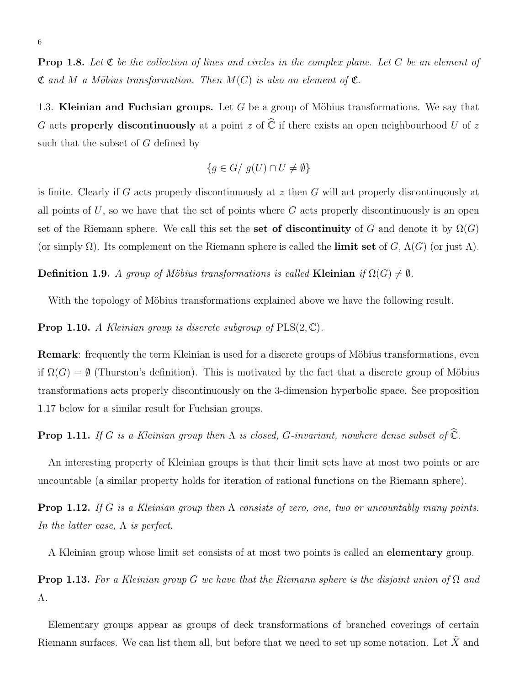**Prop 1.8.** Let  $\mathfrak C$  be the collection of lines and circles in the complex plane. Let  $C$  be an element of  $\mathfrak C$  and M a Möbius transformation. Then  $M(C)$  is also an element of  $\mathfrak C$ .

1.3. Kleinian and Fuchsian groups. Let G be a group of Möbius transformations. We say that G acts **properly discontinuously** at a point z of  $\hat{\mathbb{C}}$  if there exists an open neighbourhood U of z such that the subset of G defined by

$$
\{g \in G / g(U) \cap U \neq \emptyset\}
$$

is finite. Clearly if G acts properly discontinuously at  $z$  then G will act properly discontinuously at all points of  $U$ , so we have that the set of points where  $G$  acts properly discontinuously is an open set of the Riemann sphere. We call this set the set of discontinuity of G and denote it by  $\Omega(G)$ (or simply  $\Omega$ ). Its complement on the Riemann sphere is called the **limit set** of G,  $\Lambda(G)$  (or just  $\Lambda$ ).

Definition 1.9. A group of Möbius transformations is called Kleinian if  $\Omega(G) \neq \emptyset$ .

With the topology of Möbius transformations explained above we have the following result.

**Prop 1.10.** A Kleinian group is discrete subgroup of  $PLS(2, \mathbb{C})$ .

**Remark:** frequently the term Kleinian is used for a discrete groups of Möbius transformations, even if  $\Omega(G) = \emptyset$  (Thurston's definition). This is motivated by the fact that a discrete group of Möbius transformations acts properly discontinuously on the 3-dimension hyperbolic space. See proposition 1.17 below for a similar result for Fuchsian groups.

**Prop 1.11.** If G is a Kleinian group then  $\Lambda$  is closed, G-invariant, nowhere dense subset of  $\widehat{\mathbb{C}}$ .

An interesting property of Kleinian groups is that their limit sets have at most two points or are uncountable (a similar property holds for iteration of rational functions on the Riemann sphere).

**Prop 1.12.** If G is a Kleinian group then  $\Lambda$  consists of zero, one, two or uncountably many points. In the latter case,  $\Lambda$  is perfect.

A Kleinian group whose limit set consists of at most two points is called an elementary group.

**Prop 1.13.** For a Kleinian group G we have that the Riemann sphere is the disjoint union of  $\Omega$  and Λ.

Elementary groups appear as groups of deck transformations of branched coverings of certain Riemann surfaces. We can list them all, but before that we need to set up some notation. Let  $\tilde{X}$  and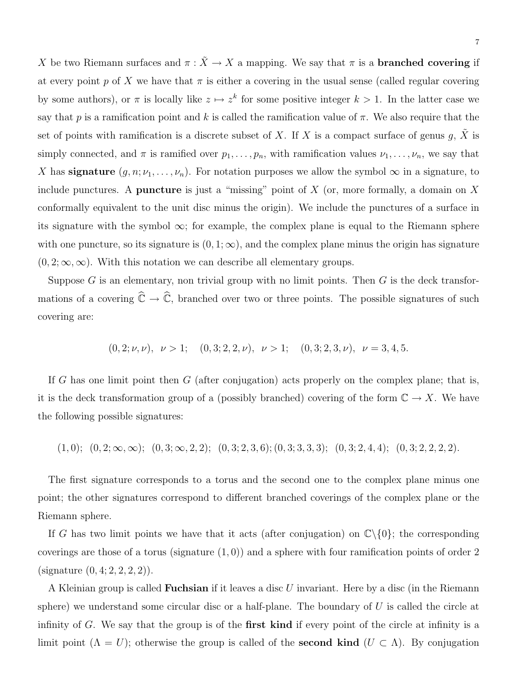X be two Riemann surfaces and  $\pi$ :  $\tilde{X} \to X$  a mapping. We say that  $\pi$  is a **branched covering** if at every point p of X we have that  $\pi$  is either a covering in the usual sense (called regular covering by some authors), or  $\pi$  is locally like  $z \mapsto z^k$  for some positive integer  $k > 1$ . In the latter case we say that p is a ramification point and k is called the ramification value of  $\pi$ . We also require that the set of points with ramification is a discrete subset of X. If X is a compact surface of genus g,  $\tilde{X}$  is simply connected, and  $\pi$  is ramified over  $p_1, \ldots, p_n$ , with ramification values  $\nu_1, \ldots, \nu_n$ , we say that X has **signature**  $(g, n; \nu_1, \ldots, \nu_n)$ . For notation purposes we allow the symbol  $\infty$  in a signature, to include punctures. A **puncture** is just a "missing" point of  $X$  (or, more formally, a domain on  $X$ conformally equivalent to the unit disc minus the origin). We include the punctures of a surface in its signature with the symbol  $\infty$ ; for example, the complex plane is equal to the Riemann sphere with one puncture, so its signature is  $(0, 1; \infty)$ , and the complex plane minus the origin has signature  $(0, 2; \infty, \infty)$ . With this notation we can describe all elementary groups.

Suppose  $G$  is an elementary, non trivial group with no limit points. Then  $G$  is the deck transformations of a covering  $\hat{\mathbb{C}} \to \hat{\mathbb{C}}$ , branched over two or three points. The possible signatures of such covering are:

$$
(0,2;\nu,\nu), \nu > 1;
$$
  $(0,3;2,2,\nu), \nu > 1;$   $(0,3;2,3,\nu), \nu = 3,4,5.$ 

If G has one limit point then  $G$  (after conjugation) acts properly on the complex plane; that is, it is the deck transformation group of a (possibly branched) covering of the form  $\mathbb{C} \to X$ . We have the following possible signatures:

 $(1, 0); (0, 2; \infty, \infty); (0, 3; \infty, 2, 2); (0, 3; 2, 3, 6); (0, 3; 3, 3, 3); (0, 3; 2, 4, 4); (0, 3; 2, 2, 2, 2).$ 

The first signature corresponds to a torus and the second one to the complex plane minus one point; the other signatures correspond to different branched coverings of the complex plane or the Riemann sphere.

If G has two limit points we have that it acts (after conjugation) on  $\mathbb{C}\backslash\{0\}$ ; the corresponding coverings are those of a torus (signature  $(1, 0)$ ) and a sphere with four ramification points of order 2 (signature  $(0, 4; 2, 2, 2, 2)$ ).

A Kleinian group is called Fuchsian if it leaves a disc U invariant. Here by a disc (in the Riemann sphere) we understand some circular disc or a half-plane. The boundary of  $U$  is called the circle at infinity of G. We say that the group is of the **first kind** if every point of the circle at infinity is a limit point  $(\Lambda = U)$ ; otherwise the group is called of the **second kind**  $(U \subset \Lambda)$ . By conjugation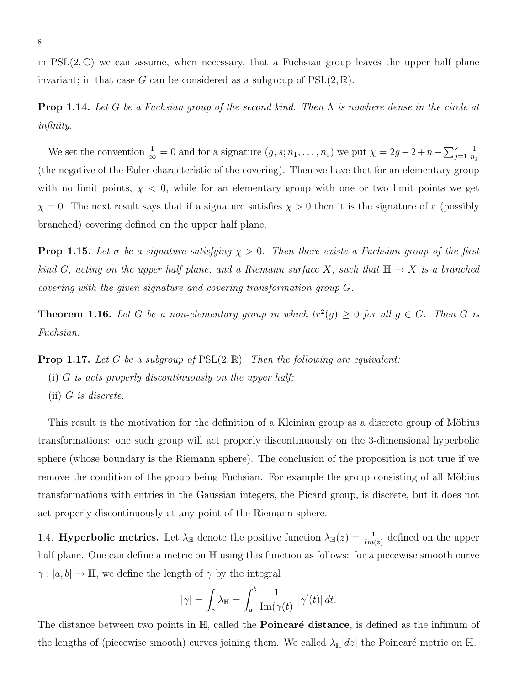in  $PSL(2,\mathbb{C})$  we can assume, when necessary, that a Fuchsian group leaves the upper half plane invariant; in that case G can be considered as a subgroup of  $PSL(2, \mathbb{R})$ .

**Prop 1.14.** Let G be a Fuchsian group of the second kind. Then  $\Lambda$  is nowhere dense in the circle at infinity.

We set the convention  $\frac{1}{\infty} = 0$  and for a signature  $(g, s; n_1, \ldots, n_s)$  we put  $\chi = 2g - 2 + n - \sum_{j=1}^s$ 1  $n_j$ (the negative of the Euler characteristic of the covering). Then we have that for an elementary group with no limit points,  $\chi$  < 0, while for an elementary group with one or two limit points we get  $\chi = 0$ . The next result says that if a signature satisfies  $\chi > 0$  then it is the signature of a (possibly branched) covering defined on the upper half plane.

**Prop 1.15.** Let  $\sigma$  be a signature satisfying  $\chi > 0$ . Then there exists a Fuchsian group of the first kind G, acting on the upper half plane, and a Riemann surface X, such that  $\mathbb{H} \to X$  is a branched covering with the given signature and covering transformation group G.

**Theorem 1.16.** Let G be a non-elementary group in which  $tr^2(g) \geq 0$  for all  $g \in G$ . Then G is Fuchsian.

**Prop 1.17.** Let G be a subgroup of  $PSL(2, \mathbb{R})$ . Then the following are equivalent:

- (i)  $G$  is acts properly discontinuously on the upper half;
- (ii) G is discrete.

This result is the motivation for the definition of a Kleinian group as a discrete group of Möbius transformations: one such group will act properly discontinuously on the 3-dimensional hyperbolic sphere (whose boundary is the Riemann sphere). The conclusion of the proposition is not true if we remove the condition of the group being Fuchsian. For example the group consisting of all Möbius transformations with entries in the Gaussian integers, the Picard group, is discrete, but it does not act properly discontinuously at any point of the Riemann sphere.

1.4. **Hyperbolic metrics.** Let  $\lambda_{\mathbb{H}}$  denote the positive function  $\lambda_{\mathbb{H}}(z) = \frac{1}{Im(z)}$  defined on the upper half plane. One can define a metric on  $\mathbb H$  using this function as follows: for a piecewise smooth curve  $\gamma : [a, b] \to \mathbb{H}$ , we define the length of  $\gamma$  by the integral

$$
|\gamma| = \int_{\gamma} \lambda_{\mathbb{H}} = \int_{a}^{b} \frac{1}{\text{Im}(\gamma(t))} |\gamma'(t)| dt.
$$

The distance between two points in  $\mathbb{H}$ , called the **Poincaré distance**, is defined as the infimum of the lengths of (piecewise smooth) curves joining them. We called  $\lambda_{\mathbb{H}}|dz|$  the Poincaré metric on H.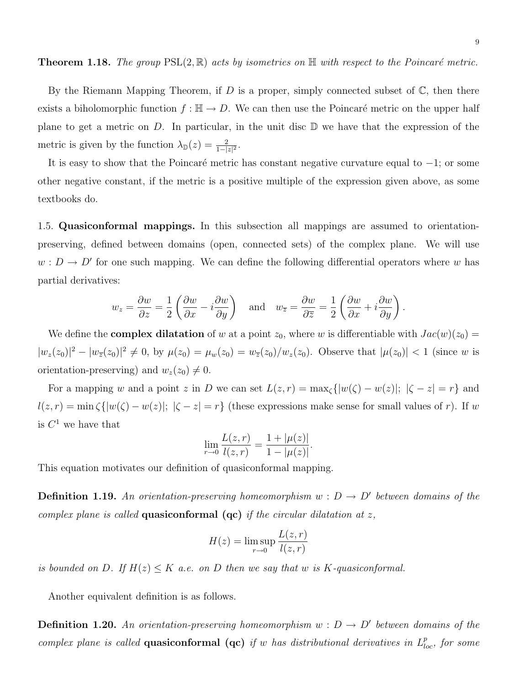By the Riemann Mapping Theorem, if D is a proper, simply connected subset of  $\mathbb{C}$ , then there exists a biholomorphic function  $f : \mathbb{H} \to D$ . We can then use the Poincaré metric on the upper half plane to get a metric on D. In particular, in the unit disc  $\mathbb D$  we have that the expression of the metric is given by the function  $\lambda_{\mathbb{D}}(z) = \frac{2}{1-|z|^2}$ .

It is easy to show that the Poincaré metric has constant negative curvature equal to  $-1$ ; or some other negative constant, if the metric is a positive multiple of the expression given above, as some textbooks do.

1.5. Quasiconformal mappings. In this subsection all mappings are assumed to orientationpreserving, defined between domains (open, connected sets) of the complex plane. We will use  $w: D \to D'$  for one such mapping. We can define the following differential operators where w has partial derivatives:

$$
w_z = \frac{\partial w}{\partial z} = \frac{1}{2} \left( \frac{\partial w}{\partial x} - i \frac{\partial w}{\partial y} \right)
$$
 and  $w_{\overline{z}} = \frac{\partial w}{\partial \overline{z}} = \frac{1}{2} \left( \frac{\partial w}{\partial x} + i \frac{\partial w}{\partial y} \right).$ 

We define the **complex dilatation** of w at a point  $z_0$ , where w is differentiable with  $Jac(w)(z_0)$  =  $|w_z(z_0)|^2 - |w_{\overline{z}}(z_0)|^2 \neq 0$ , by  $\mu(z_0) = \mu_w(z_0) = w_{\overline{z}}(z_0)/w_z(z_0)$ . Observe that  $|\mu(z_0)| < 1$  (since w is orientation-preserving) and  $w_z(z_0) \neq 0$ .

For a mapping w and a point z in D we can set  $L(z,r) = \max_{\zeta} \{|w(\zeta) - w(z)|; |\zeta - z| = r\}$  and  $l(z,r) = \min \zeta(|w(\zeta) - w(z)|; |\zeta - z| = r$  (these expressions make sense for small values of r). If w is  $C^1$  we have that

$$
\lim_{r \to 0} \frac{L(z, r)}{l(z, r)} = \frac{1 + |\mu(z)|}{1 - |\mu(z)|}.
$$

This equation motivates our definition of quasiconformal mapping.

**Definition 1.19.** An orientation-preserving homeomorphism  $w : D \to D'$  between domains of the complex plane is called **quasiconformal** (**qc**) if the circular dilatation at z,

$$
H(z) = \limsup_{r \to 0} \frac{L(z, r)}{l(z, r)}
$$

is bounded on D. If  $H(z) \leq K$  a.e. on D then we say that w is K-quasiconformal.

Another equivalent definition is as follows.

**Definition 1.20.** An orientation-preserving homeomorphism  $w : D \to D'$  between domains of the complex plane is called **quasiconformal** (**qc**) if w has distributional derivatives in  $L_{loc}^p$ , for some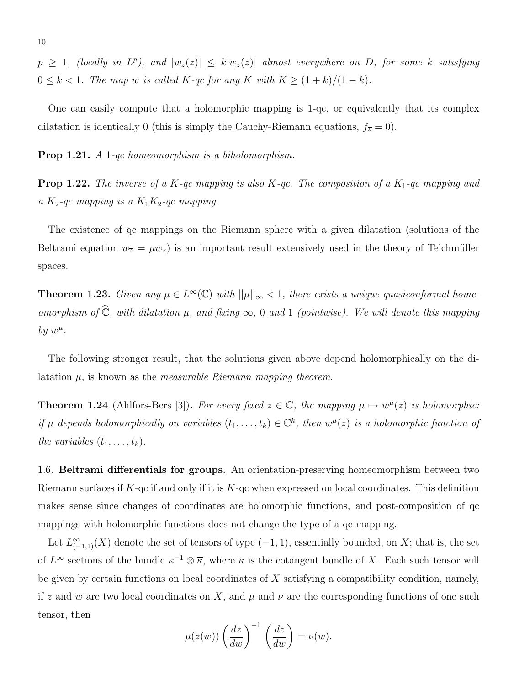$p \ge 1$ , (locally in  $L^p$ ), and  $|w_{\overline{z}}(z)| \le k|w_z(z)|$  almost everywhere on D, for some k satisfying  $0 \leq k < 1$ . The map w is called K-qc for any K with  $K \geq (1 + k)/(1 - k)$ .

One can easily compute that a holomorphic mapping is 1-qc, or equivalently that its complex dilatation is identically 0 (this is simply the Cauchy-Riemann equations,  $f_{\overline{z}} = 0$ ).

Prop 1.21. A 1-qc homeomorphism is a biholomorphism.

**Prop 1.22.** The inverse of a K-qc mapping is also K-qc. The composition of a K<sub>1</sub>-qc mapping and a  $K_2$ -qc mapping is a  $K_1K_2$ -qc mapping.

The existence of qc mappings on the Riemann sphere with a given dilatation (solutions of the Beltrami equation  $w_{\overline{z}} = \mu w_z$ ) is an important result extensively used in the theory of Teichmüller spaces.

**Theorem 1.23.** Given any  $\mu \in L^{\infty}(\mathbb{C})$  with  $||\mu||_{\infty} < 1$ , there exists a unique quasiconformal homeomorphism of  $\widehat{\mathbb{C}}$ , with dilatation  $\mu$ , and fixing  $\infty$ , 0 and 1 (pointwise). We will denote this mapping by  $w^{\mu}$ .

The following stronger result, that the solutions given above depend holomorphically on the dilatation  $\mu$ , is known as the *measurable Riemann mapping theorem*.

**Theorem 1.24** (Ahlfors-Bers [3]). For every fixed  $z \in \mathbb{C}$ , the mapping  $\mu \mapsto w^{\mu}(z)$  is holomorphic: if  $\mu$  depends holomorphically on variables  $(t_1, \ldots, t_k) \in \mathbb{C}^k$ , then  $w^{\mu}(z)$  is a holomorphic function of the variables  $(t_1, \ldots, t_k)$ .

1.6. Beltrami differentials for groups. An orientation-preserving homeomorphism between two Riemann surfaces if  $K$ -qc if and only if it is  $K$ -qc when expressed on local coordinates. This definition makes sense since changes of coordinates are holomorphic functions, and post-composition of qc mappings with holomorphic functions does not change the type of a qc mapping.

Let  $L_{(-1,1)}^{\infty}(X)$  denote the set of tensors of type  $(-1,1)$ , essentially bounded, on X; that is, the set of  $L^{\infty}$  sections of the bundle  $\kappa^{-1} \otimes \overline{\kappa}$ , where  $\kappa$  is the cotangent bundle of X. Each such tensor will be given by certain functions on local coordinates of  $X$  satisfying a compatibility condition, namely, if z and w are two local coordinates on X, and  $\mu$  and  $\nu$  are the corresponding functions of one such tensor, then

$$
\mu(z(w))\left(\frac{dz}{dw}\right)^{-1}\left(\frac{\overline{dz}}{dw}\right) = \nu(w).
$$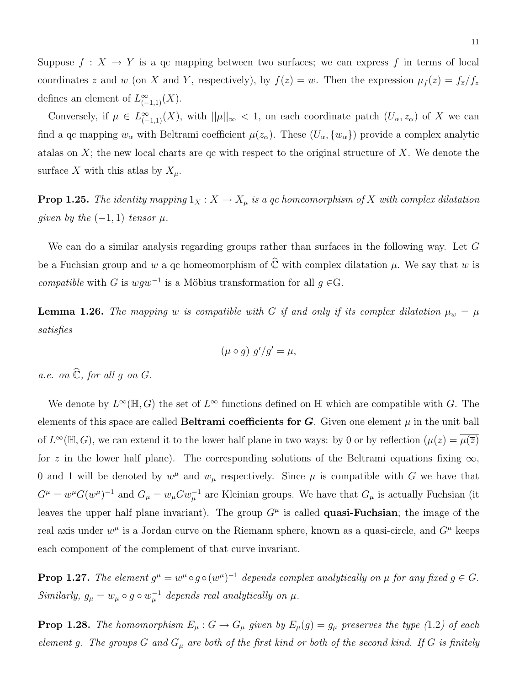Suppose  $f: X \to Y$  is a qc mapping between two surfaces; we can express f in terms of local coordinates z and w (on X and Y, respectively), by  $f(z) = w$ . Then the expression  $\mu_f(z) = f_{\overline{z}}/f_z$ defines an element of  $L_{(-1,1)}^{\infty}(X)$ .

Conversely, if  $\mu \in L^{\infty}_{(-1,1)}(X)$ , with  $||\mu||_{\infty} < 1$ , on each coordinate patch  $(U_{\alpha}, z_{\alpha})$  of X we can find a qc mapping  $w_\alpha$  with Beltrami coefficient  $\mu(z_\alpha)$ . These  $(U_\alpha, \{w_\alpha\})$  provide a complex analytic atalas on  $X$ ; the new local charts are qc with respect to the original structure of  $X$ . We denote the surface X with this atlas by  $X_\mu$ .

**Prop 1.25.** The identity mapping  $1_X : X \to X_\mu$  is a qc homeomorphism of X with complex dilatation given by the  $(-1, 1)$  tensor  $\mu$ .

We can do a similar analysis regarding groups rather than surfaces in the following way. Let G be a Fuchsian group and w a qc homeomorphism of  $\hat{\mathbb{C}}$  with complex dilatation  $\mu$ . We say that w is compatible with G is  $wgw^{-1}$  is a Möbius transformation for all  $g \in G$ .

**Lemma 1.26.** The mapping w is compatible with G if and only if its complex dilatation  $\mu_w = \mu$ satisfies

$$
(\mu \circ g) \overline{g'}/g' = \mu,
$$

a.e. on  $\widehat{\mathbb{C}}$ , for all g on G.

We denote by  $L^{\infty}(\mathbb{H}, G)$  the set of  $L^{\infty}$  functions defined on  $\mathbb{H}$  which are compatible with G. The elements of this space are called **Beltrami coefficients for G**. Given one element  $\mu$  in the unit ball of  $L^{\infty}(\mathbb{H}, G)$ , we can extend it to the lower half plane in two ways: by 0 or by reflection  $(\mu(z) = \overline{\mu(z)})$ for z in the lower half plane). The corresponding solutions of the Beltrami equations fixing  $\infty$ , 0 and 1 will be denoted by  $w^{\mu}$  and  $w_{\mu}$  respectively. Since  $\mu$  is compatible with G we have that  $G^{\mu} = w^{\mu}G(w^{\mu})^{-1}$  and  $G_{\mu} = w_{\mu}Gw_{\mu}^{-1}$  are Kleinian groups. We have that  $G_{\mu}$  is actually Fuchsian (it leaves the upper half plane invariant). The group  $G^{\mu}$  is called **quasi-Fuchsian**; the image of the real axis under  $w^{\mu}$  is a Jordan curve on the Riemann sphere, known as a quasi-circle, and  $G^{\mu}$  keeps each component of the complement of that curve invariant.

**Prop 1.27.** The element  $g^{\mu} = w^{\mu} \circ g \circ (w^{\mu})^{-1}$  depends complex analytically on  $\mu$  for any fixed  $g \in G$ . Similarly,  $g_{\mu} = w_{\mu} \circ g \circ w_{\mu}^{-1}$  depends real analytically on  $\mu$ .

**Prop 1.28.** The homomorphism  $E_{\mu}: G \to G_{\mu}$  given by  $E_{\mu}(g) = g_{\mu}$  preserves the type (1.2) of each element g. The groups G and  $G_{\mu}$  are both of the first kind or both of the second kind. If G is finitely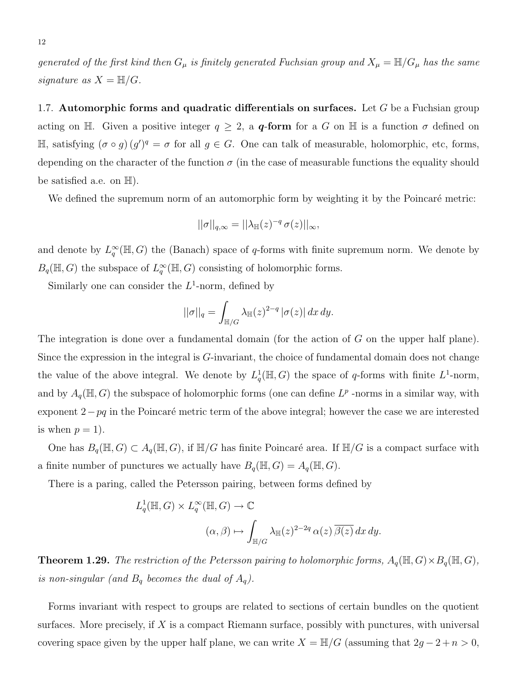generated of the first kind then  $G_\mu$  is finitely generated Fuchsian group and  $X_\mu = \mathbb{H}/G_\mu$  has the same signature as  $X = \mathbb{H}/G$ .

1.7. Automorphic forms and quadratic differentials on surfaces. Let  $G$  be a Fuchsian group acting on H. Given a positive integer  $q \geq 2$ , a **q-form** for a G on H is a function  $\sigma$  defined on  $\mathbb{H}$ , satisfying (σ ∘ g) (g')<sup>q</sup> = σ for all g ∈ G. One can talk of measurable, holomorphic, etc, forms, depending on the character of the function  $\sigma$  (in the case of measurable functions the equality should be satisfied a.e. on  $\mathbb{H}$ ).

We defined the supremum norm of an automorphic form by weighting it by the Poincaré metric:

$$
||\sigma||_{q,\infty} = ||\lambda_{\mathbb{H}}(z)^{-q} \sigma(z)||_{\infty},
$$

and denote by  $L_q^{\infty}(\mathbb{H}, G)$  the (Banach) space of q-forms with finite supremum norm. We denote by  $B_q(\mathbb{H}, G)$  the subspace of  $L_q^{\infty}(\mathbb{H}, G)$  consisting of holomorphic forms.

Similarly one can consider the  $L^1$ -norm, defined by

$$
||\sigma||_q = \int_{\mathbb{H}/G} \lambda_{\mathbb{H}}(z)^{2-q} |\sigma(z)| dx dy.
$$

The integration is done over a fundamental domain (for the action of G on the upper half plane). Since the expression in the integral is G-invariant, the choice of fundamental domain does not change the value of the above integral. We denote by  $L_q^1(\mathbb{H}, G)$  the space of q-forms with finite  $L^1$ -norm, and by  $A_q(\mathbb{H}, G)$  the subspace of holomorphic forms (one can define  $L^p$  -norms in a similar way, with exponent  $2-pq$  in the Poincaré metric term of the above integral; however the case we are interested is when  $p = 1$ .

One has  $B_q(\mathbb{H}, G) \subset A_q(\mathbb{H}, G)$ , if  $\mathbb{H}/G$  has finite Poincaré area. If  $\mathbb{H}/G$  is a compact surface with a finite number of punctures we actually have  $B_q(\mathbb{H}, G) = A_q(\mathbb{H}, G)$ .

There is a paring, called the Petersson pairing, between forms defined by

$$
L_q^1(\mathbb{H}, G) \times L_q^{\infty}(\mathbb{H}, G) \to \mathbb{C}
$$
  

$$
(\alpha, \beta) \mapsto \int_{\mathbb{H}/G} \lambda_{\mathbb{H}}(z)^{2-2q} \alpha(z) \overline{\beta(z)} dx dy.
$$

**Theorem 1.29.** The restriction of the Petersson pairing to holomorphic forms,  $A_q(\mathbb{H}, G) \times B_q(\mathbb{H}, G)$ , is non-singular (and  $B_q$  becomes the dual of  $A_q$ ).

Forms invariant with respect to groups are related to sections of certain bundles on the quotient surfaces. More precisely, if  $X$  is a compact Riemann surface, possibly with punctures, with universal covering space given by the upper half plane, we can write  $X = \mathbb{H}/G$  (assuming that  $2g - 2 + n > 0$ ,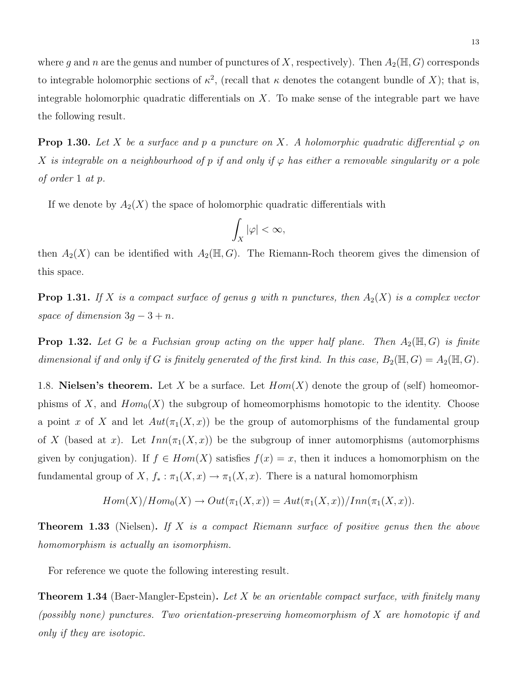where g and n are the genus and number of punctures of X, respectively). Then  $A_2(\mathbb{H}, G)$  corresponds to integrable holomorphic sections of  $\kappa^2$ , (recall that  $\kappa$  denotes the cotangent bundle of X); that is, integrable holomorphic quadratic differentials on  $X$ . To make sense of the integrable part we have the following result.

**Prop 1.30.** Let X be a surface and p a puncture on X. A holomorphic quadratic differential  $\varphi$  on X is integrable on a neighbourhood of p if and only if  $\varphi$  has either a removable singularity or a pole of order 1 at p.

If we denote by  $A_2(X)$  the space of holomorphic quadratic differentials with

$$
\int_X |\varphi| < \infty,
$$

then  $A_2(X)$  can be identified with  $A_2(\mathbb{H}, G)$ . The Riemann-Roch theorem gives the dimension of this space.

**Prop 1.31.** If X is a compact surface of genus g with n punctures, then  $A_2(X)$  is a complex vector space of dimension  $3g - 3 + n$ .

**Prop 1.32.** Let G be a Fuchsian group acting on the upper half plane. Then  $A_2(\mathbb{H}, G)$  is finite dimensional if and only if G is finitely generated of the first kind. In this case,  $B_2(\mathbb{H}, G) = A_2(\mathbb{H}, G)$ .

1.8. **Nielsen's theorem.** Let X be a surface. Let  $Hom(X)$  denote the group of (self) homeomorphisms of X, and  $Hom_0(X)$  the subgroup of homeomorphisms homotopic to the identity. Choose a point x of X and let  $Aut(\pi_1(X, x))$  be the group of automorphisms of the fundamental group of X (based at x). Let  $Inn(\pi_1(X, x))$  be the subgroup of inner automorphisms (automorphisms given by conjugation). If  $f \in Hom(X)$  satisfies  $f(x) = x$ , then it induces a homomorphism on the fundamental group of X,  $f_* : \pi_1(X, x) \to \pi_1(X, x)$ . There is a natural homomorphism

$$
Hom(X)/Hom_0(X) \to Out(\pi_1(X,x)) = Aut(\pi_1(X,x))/Inn(\pi_1(X,x)).
$$

**Theorem 1.33** (Nielsen). If X is a compact Riemann surface of positive genus then the above homomorphism is actually an isomorphism.

For reference we quote the following interesting result.

**Theorem 1.34** (Baer-Mangler-Epstein). Let X be an orientable compact surface, with finitely many (possibly none) punctures. Two orientation-preserving homeomorphism of X are homotopic if and only if they are isotopic.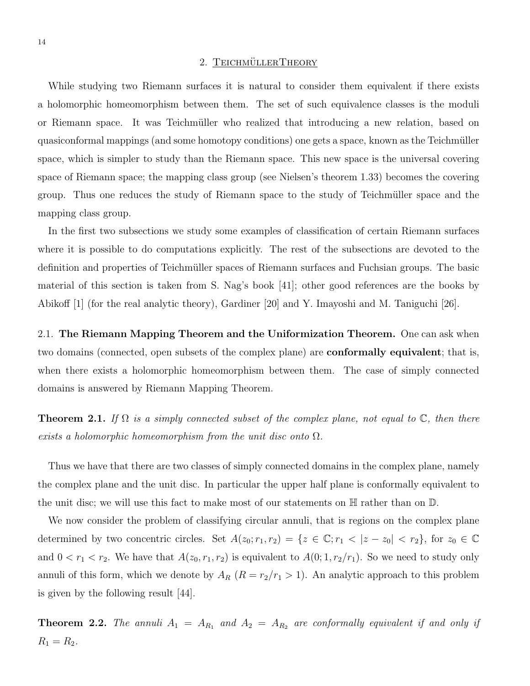### 2. TEICHMÜLLERTHEORY

While studying two Riemann surfaces it is natural to consider them equivalent if there exists a holomorphic homeomorphism between them. The set of such equivalence classes is the moduli or Riemann space. It was Teichmüller who realized that introducing a new relation, based on quasiconformal mappings (and some homotopy conditions) one gets a space, known as the Teichmüller space, which is simpler to study than the Riemann space. This new space is the universal covering space of Riemann space; the mapping class group (see Nielsen's theorem 1.33) becomes the covering group. Thus one reduces the study of Riemann space to the study of Teichmüller space and the mapping class group.

In the first two subsections we study some examples of classification of certain Riemann surfaces where it is possible to do computations explicitly. The rest of the subsections are devoted to the definition and properties of Teichmüller spaces of Riemann surfaces and Fuchsian groups. The basic material of this section is taken from S. Nag's book [41]; other good references are the books by Abikoff [1] (for the real analytic theory), Gardiner [20] and Y. Imayoshi and M. Taniguchi [26].

2.1. The Riemann Mapping Theorem and the Uniformization Theorem. One can ask when two domains (connected, open subsets of the complex plane) are conformally equivalent; that is, when there exists a holomorphic homeomorphism between them. The case of simply connected domains is answered by Riemann Mapping Theorem.

**Theorem 2.1.** If  $\Omega$  is a simply connected subset of the complex plane, not equal to  $\mathbb{C}$ , then there exists a holomorphic homeomorphism from the unit disc onto  $\Omega$ .

Thus we have that there are two classes of simply connected domains in the complex plane, namely the complex plane and the unit disc. In particular the upper half plane is conformally equivalent to the unit disc; we will use this fact to make most of our statements on  $\mathbb H$  rather than on  $\mathbb D$ .

We now consider the problem of classifying circular annuli, that is regions on the complex plane determined by two concentric circles. Set  $A(z_0; r_1, r_2) = \{z \in \mathbb{C}; r_1 < |z - z_0| < r_2\}$ , for  $z_0 \in \mathbb{C}$ and  $0 < r_1 < r_2$ . We have that  $A(z_0, r_1, r_2)$  is equivalent to  $A(0; 1, r_2/r_1)$ . So we need to study only annuli of this form, which we denote by  $A_R$   $(R = r_2/r_1 > 1)$ . An analytic approach to this problem is given by the following result [44].

**Theorem 2.2.** The annuli  $A_1 = A_{R_1}$  and  $A_2 = A_{R_2}$  are conformally equivalent if and only if  $R_1 = R_2.$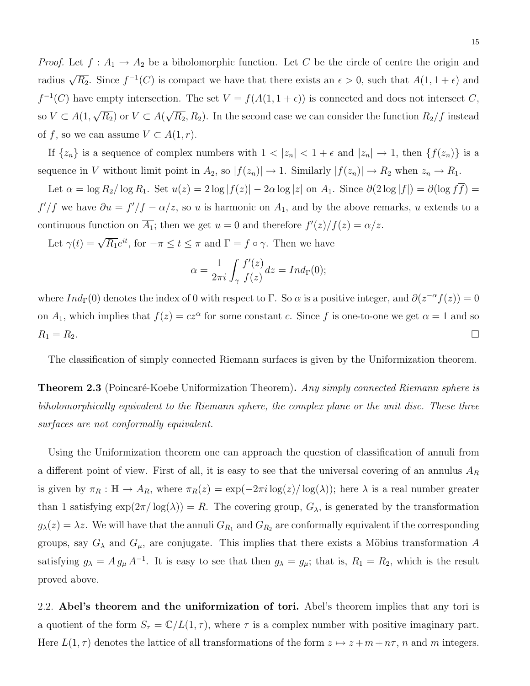*Proof.* Let  $f: A_1 \to A_2$  be a biholomorphic function. Let C be the circle of centre the origin and radius  $\sqrt{R_2}$ . Since  $f^{-1}(C)$  is compact we have that there exists an  $\epsilon > 0$ , such that  $A(1, 1 + \epsilon)$  and  $f^{-1}(C)$  have empty intersection. The set  $V = f(A(1, 1 + \epsilon))$  is connected and does not intersect C, so  $V \subset A(1,$ √  $\overline{R_2}$ ) or  $V \subset A($ √  $\overline{R_2}, R_2$ ). In the second case we can consider the function  $R_2/f$  instead of f, so we can assume  $V \subset A(1,r)$ .

If  $\{z_n\}$  is a sequence of complex numbers with  $1 < |z_n| < 1 + \epsilon$  and  $|z_n| \to 1$ , then  $\{f(z_n)\}$  is a sequence in V without limit point in  $A_2$ , so  $|f(z_n)| \to 1$ . Similarly  $|f(z_n)| \to R_2$  when  $z_n \to R_1$ .

Let  $\alpha = \log R_2 / \log R_1$ . Set  $u(z) = 2 \log |f(z)| - 2\alpha \log |z|$  on  $A_1$ . Since  $\partial(2 \log |f|) = \partial(\log f \overline{f}) =$  $f'/f$  we have  $\partial u = f'/f - \alpha/z$ , so u is harmonic on  $A_1$ , and by the above remarks, u extends to a continuous function on  $\overline{A_1}$ ; then we get  $u = 0$  and therefore  $f'(z)/f(z) = \alpha/z$ .

Let  $\gamma(t) = \sqrt{R_1}e^{it}$ , for  $-\pi \le t \le \pi$  and  $\Gamma = f \circ \gamma$ . Then we have

$$
\alpha = \frac{1}{2\pi i} \int_{\gamma} \frac{f'(z)}{f(z)} dz = Ind_{\Gamma}(0);
$$

where  $Ind_{\Gamma}(0)$  denotes the index of 0 with respect to  $\Gamma$ . So  $\alpha$  is a positive integer, and  $\partial(z^{-\alpha}f(z))=0$ on  $A_1$ , which implies that  $f(z) = cz^{\alpha}$  for some constant c. Since f is one-to-one we get  $\alpha = 1$  and so  $R_1 = R_2.$ 

The classification of simply connected Riemann surfaces is given by the Uniformization theorem.

**Theorem 2.3** (Poincaré-Koebe Uniformization Theorem). Any simply connected Riemann sphere is biholomorphically equivalent to the Riemann sphere, the complex plane or the unit disc. These three surfaces are not conformally equivalent.

Using the Uniformization theorem one can approach the question of classification of annuli from a different point of view. First of all, it is easy to see that the universal covering of an annulus  $A_R$ is given by  $\pi_R : \mathbb{H} \to A_R$ , where  $\pi_R(z) = \exp(-2\pi i \log(z)/\log(\lambda))$ ; here  $\lambda$  is a real number greater than 1 satisfying  $\exp(2\pi/\log(\lambda)) = R$ . The covering group,  $G_{\lambda}$ , is generated by the transformation  $g_{\lambda}(z) = \lambda z$ . We will have that the annuli  $G_{R_1}$  and  $G_{R_2}$  are conformally equivalent if the corresponding groups, say  $G_{\lambda}$  and  $G_{\mu}$ , are conjugate. This implies that there exists a Möbius transformation A satisfying  $g_{\lambda} = A g_{\mu} A^{-1}$ . It is easy to see that then  $g_{\lambda} = g_{\mu}$ ; that is,  $R_1 = R_2$ , which is the result proved above.

2.2. Abel's theorem and the uniformization of tori. Abel's theorem implies that any tori is a quotient of the form  $S_{\tau} = \mathbb{C}/L(1, \tau)$ , where  $\tau$  is a complex number with positive imaginary part. Here  $L(1, \tau)$  denotes the lattice of all transformations of the form  $z \mapsto z + m + n\tau$ , n and m integers.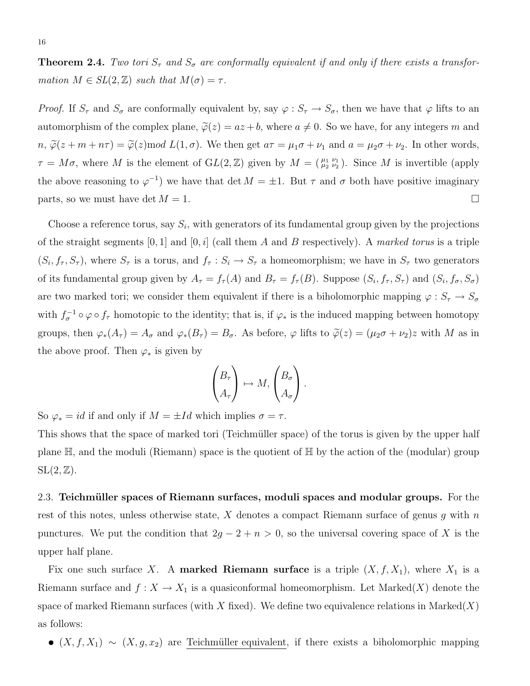**Theorem 2.4.** Two tori  $S_{\tau}$  and  $S_{\sigma}$  are conformally equivalent if and only if there exists a transformation  $M \in SL(2, \mathbb{Z})$  such that  $M(\sigma) = \tau$ .

*Proof.* If  $S_{\tau}$  and  $S_{\sigma}$  are conformally equivalent by, say  $\varphi : S_{\tau} \to S_{\sigma}$ , then we have that  $\varphi$  lifts to an automorphism of the complex plane,  $\tilde{\varphi}(z) = az + b$ , where  $a \neq 0$ . So we have, for any integers m and  $n, \tilde{\varphi}(z + m + n\tau) = \tilde{\varphi}(z)$  mod  $L(1, \sigma)$ . We then get  $a\tau = \mu_1 \sigma + \nu_1$  and  $a = \mu_2 \sigma + \nu_2$ . In other words,  $\tau = M\sigma$ , where M is the element of  $GL(2, \mathbb{Z})$  given by  $M = \begin{pmatrix} \mu_1 & \nu_1 \\ \mu_2 & \nu_2 \end{pmatrix}$ . Since M is invertible (apply the above reasoning to  $\varphi^{-1}$  we have that det  $M = \pm 1$ . But  $\tau$  and  $\sigma$  both have positive imaginary parts, so we must have det  $M = 1$ .

Choose a reference torus, say  $S_i$ , with generators of its fundamental group given by the projections of the straight segments  $[0, 1]$  and  $[0, i]$  (call them A and B respectively). A marked torus is a triple  $(S_i, f_\tau, S_\tau)$ , where  $S_\tau$  is a torus, and  $f_\tau : S_i \to S_\tau$  a homeomorphism; we have in  $S_\tau$  two generators of its fundamental group given by  $A_{\tau} = f_{\tau}(A)$  and  $B_{\tau} = f_{\tau}(B)$ . Suppose  $(S_i, f_{\tau}, S_{\tau})$  and  $(S_i, f_{\sigma}, S_{\sigma})$ are two marked tori; we consider them equivalent if there is a biholomorphic mapping  $\varphi : S_\tau \to S_\sigma$ with  $f_{\sigma}^{-1} \circ \varphi \circ f_{\tau}$  homotopic to the identity; that is, if  $\varphi_*$  is the induced mapping between homotopy groups, then  $\varphi_*(A_\tau) = A_\sigma$  and  $\varphi_*(B_\tau) = B_\sigma$ . As before,  $\varphi$  lifts to  $\tilde{\varphi}(z) = (\mu_2 \sigma + \nu_2)z$  with M as in the above proof. Then  $\varphi_*$  is given by

$$
\begin{pmatrix} B_{\tau} \\ A_{\tau} \end{pmatrix} \mapsto M, \begin{pmatrix} B_{\sigma} \\ A_{\sigma} \end{pmatrix}.
$$

So  $\varphi_* = id$  if and only if  $M = \pm Id$  which implies  $\sigma = \tau$ .

This shows that the space of marked tori (Teichmüller space) of the torus is given by the upper half plane  $\mathbb{H}$ , and the moduli (Riemann) space is the quotient of  $\mathbb{H}$  by the action of the (modular) group  $SL(2,\mathbb{Z})$ .

2.3. Teichmüller spaces of Riemann surfaces, moduli spaces and modular groups. For the rest of this notes, unless otherwise state, X denotes a compact Riemann surface of genus q with  $n$ punctures. We put the condition that  $2g - 2 + n > 0$ , so the universal covering space of X is the upper half plane.

Fix one such surface X. A **marked Riemann surface** is a triple  $(X, f, X_1)$ , where  $X_1$  is a Riemann surface and  $f: X \to X_1$  is a quasiconformal homeomorphism. Let Marked(X) denote the space of marked Riemann surfaces (with X fixed). We define two equivalence relations in Marked $(X)$ as follows:

•  $(X, f, X_1) \sim (X, g, x_2)$  are Teichmüller equivalent, if there exists a biholomorphic mapping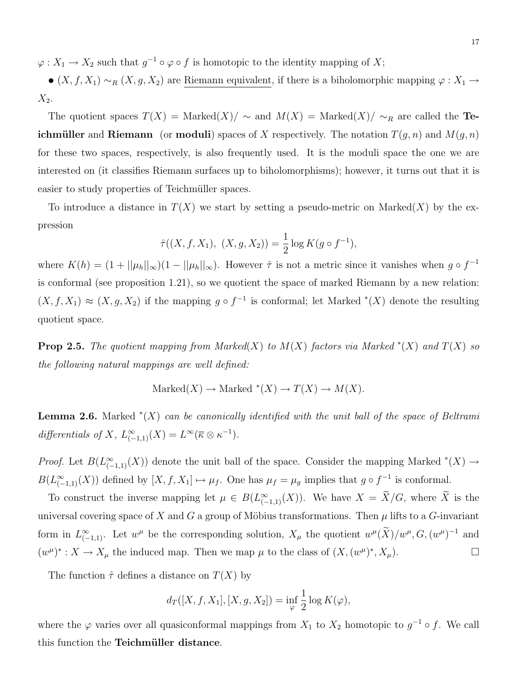$\varphi: X_1 \to X_2$  such that  $g^{-1} \circ \varphi \circ f$  is homotopic to the identity mapping of X;

•  $(X, f, X_1) \sim_R (X, g, X_2)$  are Riemann equivalent, if there is a biholomorphic mapping  $\varphi : X_1 \to Y_2$  $X_2$ .

The quotient spaces  $T(X) = \text{Marked}(X)/\sim$  and  $M(X) = \text{Marked}(X)/\sim_R$  are called the Teichmüller and Riemann (or moduli) spaces of X respectively. The notation  $T(q, n)$  and  $M(q, n)$ for these two spaces, respectively, is also frequently used. It is the moduli space the one we are interested on (it classifies Riemann surfaces up to biholomorphisms); however, it turns out that it is easier to study properties of Teichmüller spaces.

To introduce a distance in  $T(X)$  we start by setting a pseudo-metric on Marked $(X)$  by the expression

$$
\hat{\tau}((X, f, X_1), (X, g, X_2)) = \frac{1}{2} \log K(g \circ f^{-1}),
$$

where  $K(h) = (1 + ||\mu_h||_{\infty})(1 - ||\mu_h||_{\infty})$ . However  $\hat{\tau}$  is not a metric since it vanishes when  $g \circ f^{-1}$ is conformal (see proposition 1.21), so we quotient the space of marked Riemann by a new relation:  $(X, f, X_1) \approx (X, g, X_2)$  if the mapping  $g \circ f^{-1}$  is conformal; let Marked  $*(X)$  denote the resulting quotient space.

**Prop 2.5.** The quotient mapping from Marked(X) to  $M(X)$  factors via Marked  $^*(X)$  and  $T(X)$  so the following natural mappings are well defined:

$$
\text{Market}(X) \to \text{Market}^*(X) \to T(X) \to M(X).
$$

**Lemma 2.6.** Marked  $*(X)$  can be canonically identified with the unit ball of the space of Beltrami differentials of X,  $L_{(-1,1)}^{\infty}(X) = L^{\infty}(\overline{\kappa} \otimes \kappa^{-1}).$ 

*Proof.* Let  $B(L^{\infty}_{(-1,1)}(X))$  denote the unit ball of the space. Consider the mapping Marked  $^*(X) \to$  $B(L^{\infty}_{(-1,1)}(X))$  defined by  $[X, f, X_1] \mapsto \mu_f$ . One has  $\mu_f = \mu_g$  implies that  $g \circ f^{-1}$  is conformal.

To construct the inverse mapping let  $\mu \in B(L^{\infty}_{(-1,1)}(X))$ . We have  $X = \tilde{X}/G$ , where  $\tilde{X}$  is the universal covering space of X and G a group of Möbius transformations. Then  $\mu$  lifts to a G-invariant form in  $L^{\infty}_{(-1,1)}$ . Let  $w^{\mu}$  be the corresponding solution,  $X_{\mu}$  the quotient  $w^{\mu}(\tilde{X})/w^{\mu}, G, (w^{\mu})^{-1}$  and  $(w^{\mu})^* : X \to X_{\mu}$  the induced map. Then we map  $\mu$  to the class of  $(X, (w^{\mu})^*, X_{\mu})$ .

The function  $\hat{\tau}$  defines a distance on  $T(X)$  by

$$
d_T([X, f, X_1], [X, g, X_2]) = \inf_{\varphi} \frac{1}{2} \log K(\varphi),
$$

where the  $\varphi$  varies over all quasiconformal mappings from  $X_1$  to  $X_2$  homotopic to  $g^{-1} \circ f$ . We call this function the Teichmüller distance.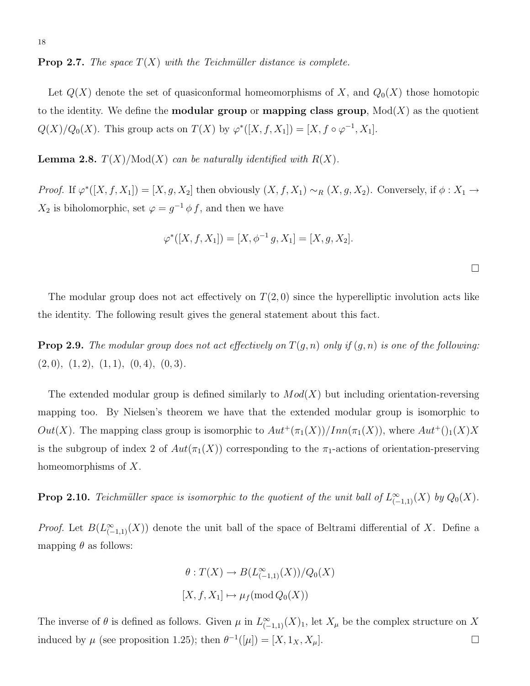**Prop 2.7.** The space  $T(X)$  with the Teichmüller distance is complete.

Let  $Q(X)$  denote the set of quasiconformal homeomorphisms of X, and  $Q_0(X)$  those homotopic to the identity. We define the **modular group** or **mapping class group**,  $Mod(X)$  as the quotient  $Q(X)/Q_0(X)$ . This group acts on  $T(X)$  by  $\varphi^*([X, f, X_1]) = [X, f \circ \varphi^{-1}, X_1]$ .

**Lemma 2.8.**  $T(X)/Mod(X)$  can be naturally identified with  $R(X)$ .

*Proof.* If  $\varphi^*([X, f, X_1]) = [X, g, X_2]$  then obviously  $(X, f, X_1) \sim_R (X, g, X_2)$ . Conversely, if  $\phi : X_1 \to Y_1$  $X_2$  is biholomorphic, set  $\varphi = g^{-1} \phi f$ , and then we have

$$
\varphi^*([X, f, X_1]) = [X, \phi^{-1} g, X_1] = [X, g, X_2].
$$

 $\Box$ 

The modular group does not act effectively on  $T(2,0)$  since the hyperelliptic involution acts like the identity. The following result gives the general statement about this fact.

**Prop 2.9.** The modular group does not act effectively on  $T(g, n)$  only if  $(g, n)$  is one of the following:  $(2, 0), (1, 2), (1, 1), (0, 4), (0, 3).$ 

The extended modular group is defined similarly to  $Mod(X)$  but including orientation-reversing mapping too. By Nielsen's theorem we have that the extended modular group is isomorphic to Out(X). The mapping class group is isomorphic to  $Aut^+(\pi_1(X))/Inn(\pi_1(X))$ , where  $Aut^+(1(X))$ is the subgroup of index 2 of  $Aut(\pi_1(X))$  corresponding to the  $\pi_1$ -actions of orientation-preserving homeomorphisms of X.

**Prop 2.10.** Teichmüller space is isomorphic to the quotient of the unit ball of  $L^{\infty}_{(-1,1)}(X)$  by  $Q_0(X)$ .

*Proof.* Let  $B(L^{\infty}_{(-1,1)}(X))$  denote the unit ball of the space of Beltrami differential of X. Define a mapping  $\theta$  as follows:

$$
\theta: T(X) \to B(L^{\infty}_{(-1,1)}(X))/Q_0(X)
$$
  

$$
[X, f, X_1] \mapsto \mu_f(\text{mod } Q_0(X))
$$

The inverse of  $\theta$  is defined as follows. Given  $\mu$  in  $L^{\infty}_{(-1,1)}(X)$ , let  $X_{\mu}$  be the complex structure on X induced by  $\mu$  (see proposition 1.25); then  $\theta^{-1}([\mu]) = [X, 1_X, X_{\mu}]$ .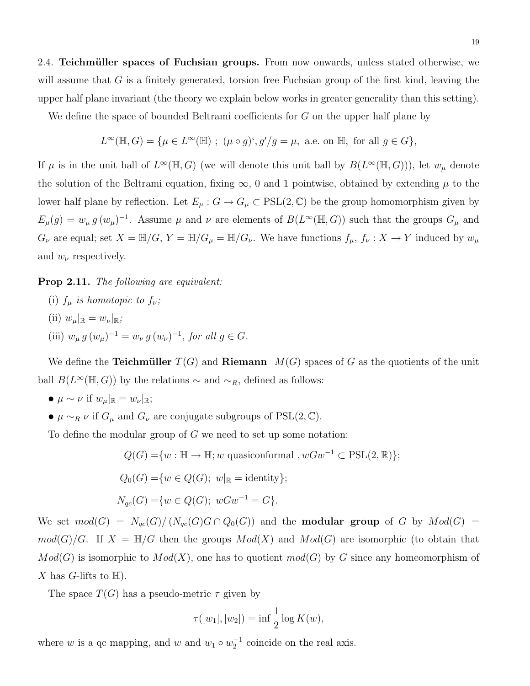2.4. Teichmüller spaces of Fuchsian groups. From now onwards, unless stated otherwise, we will assume that  $G$  is a finitely generated, torsion free Fuchsian group of the first kind, leaving the upper half plane invariant (the theory we explain below works in greater generality than this setting).

We define the space of bounded Beltrami coefficients for G on the upper half plane by

$$
L^{\infty}(\mathbb{H}, G) = \{ \mu \in L^{\infty}(\mathbb{H}) \; ; \; (\mu \circ g)^{c}, \overline{g'}/g = \mu, \text{ a.e. on } \mathbb{H}, \text{ for all } g \in G \},
$$

If  $\mu$  is in the unit ball of  $L^{\infty}(\mathbb{H}, G)$  (we will denote this unit ball by  $B(L^{\infty}(\mathbb{H}, G))$ ), let  $w_{\mu}$  denote the solution of the Beltrami equation, fixing  $\infty$ , 0 and 1 pointwise, obtained by extending  $\mu$  to the lower half plane by reflection. Let  $E_\mu : G \to G_\mu \subset \text{PSL}(2, \mathbb{C})$  be the group homomorphism given by  $E_{\mu}(g) = w_{\mu} g (w_{\mu})^{-1}$ . Assume  $\mu$  and  $\nu$  are elements of  $B(L^{\infty}(\mathbb{H}, G))$  such that the groups  $G_{\mu}$  and  $G_{\nu}$  are equal; set  $X = \mathbb{H}/G$ ,  $Y = \mathbb{H}/G_{\mu} = \mathbb{H}/G_{\nu}$ . We have functions  $f_{\mu}$ ,  $f_{\nu}: X \to Y$  induced by  $w_{\mu}$ and  $w_{\nu}$  respectively.

#### Prop 2.11. The following are equivalent:

(i)  $f_{\mu}$  is homotopic to  $f_{\nu}$ ; (ii)  $w_\mu|_{\mathbb{R}} = w_\nu|_{\mathbb{R}};$ (iii)  $w_{\mu} g (w_{\mu})^{-1} = w_{\nu} g (w_{\nu})^{-1}$ , for all  $g \in G$ .

We define the **Teichmüller**  $T(G)$  and **Riemann**  $M(G)$  spaces of G as the quotients of the unit ball  $B(L^{\infty}(\mathbb{H}, G))$  by the relations  $\sim$  and  $\sim_R$ , defined as follows:

- $\mu \sim \nu$  if  $w_{\mu}|_{\mathbb{R}} = w_{\nu}|_{\mathbb{R}};$
- $\mu \sim_R \nu$  if  $G_\mu$  and  $G_\nu$  are conjugate subgroups of PSL(2, C).

To define the modular group of  $G$  we need to set up some notation:

$$
Q(G) = \{w : \mathbb{H} \to \mathbb{H}; w \text{ quasiconformal }, wGw^{-1} \subset \text{PSL}(2, \mathbb{R})\};
$$
  
\n
$$
Q_0(G) = \{w \in Q(G); w|_{\mathbb{R}} = \text{identity}\};
$$
  
\n
$$
N_{qc}(G) = \{w \in Q(G); wGw^{-1} = G\}.
$$

We set  $mod(G) = N_{qc}(G)/N_{qc}(G)G \cap Q_0(G)$  and the **modular group** of G by  $Mod(G)$  =  $mod(G)/G$ . If  $X = \mathbb{H}/G$  then the groups  $Mod(X)$  and  $Mod(G)$  are isomorphic (to obtain that  $Mod(G)$  is isomorphic to  $Mod(X)$ , one has to quotient  $mod(G)$  by G since any homeomorphism of X has G-lifts to  $\mathbb{H}$ ).

The space  $T(G)$  has a pseudo-metric  $\tau$  given by

$$
\tau([w_1], [w_2]) = \inf \frac{1}{2} \log K(w),
$$

where w is a qc mapping, and w and  $w_1 \circ w_2^{-1}$  coincide on the real axis.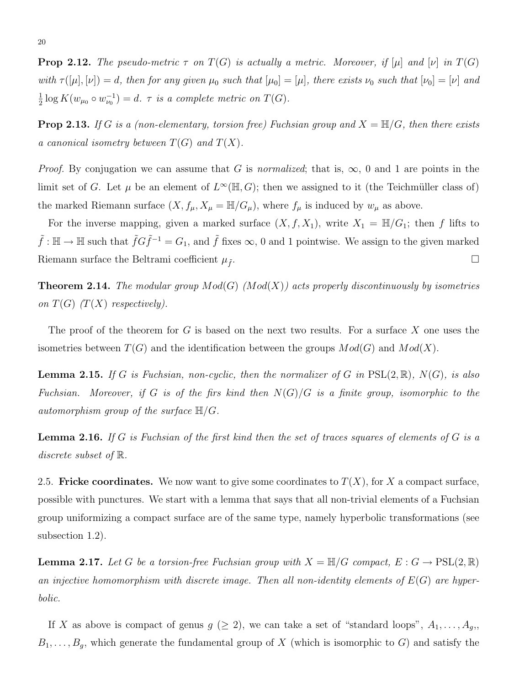**Prop 2.12.** The pseudo-metric  $\tau$  on  $T(G)$  is actually a metric. Moreover, if  $[\mu]$  and  $[\nu]$  in  $T(G)$ with  $\tau([\mu], [\nu]) = d$ , then for any given  $\mu_0$  such that  $[\mu_0] = [\mu]$ , there exists  $\nu_0$  such that  $[\nu_0] = [\nu]$  and 1  $\frac{1}{2} \log K(w_{\mu_0} \circ w_{\nu_0}^{-1}) = d. \ \tau \ \text{is a complete metric on } T(G).$ 

**Prop 2.13.** If G is a (non-elementary, torsion free) Fuchsian group and  $X = \mathbb{H}/G$ , then there exists a canonical isometry between  $T(G)$  and  $T(X)$ .

*Proof.* By conjugation we can assume that G is normalized; that is,  $\infty$ , 0 and 1 are points in the limit set of G. Let  $\mu$  be an element of  $L^{\infty}(\mathbb{H}, G)$ ; then we assigned to it (the Teichmüller class of) the marked Riemann surface  $(X, f_\mu, X_\mu = \mathbb{H}/G_\mu)$ , where  $f_\mu$  is induced by  $w_\mu$  as above.

For the inverse mapping, given a marked surface  $(X, f, X_1)$ , write  $X_1 = \mathbb{H}/G_1$ ; then f lifts to  $\tilde{f} : \mathbb{H} \to \mathbb{H}$  such that  $\tilde{f}G\tilde{f}^{-1} = G_1$ , and  $\tilde{f}$  fixes  $\infty$ , 0 and 1 pointwise. We assign to the given marked Riemann surface the Beltrami coefficient  $\mu_{\tilde{f}}$ .

**Theorem 2.14.** The modular group  $Mod(G)$  ( $Mod(X)$ ) acts properly discontinuously by isometries on  $T(G)$  (T(X) respectively).

The proof of the theorem for G is based on the next two results. For a surface X one uses the isometries between  $T(G)$  and the identification between the groups  $Mod(G)$  and  $Mod(X)$ .

**Lemma 2.15.** If G is Fuchsian, non-cyclic, then the normalizer of G in  $PSL(2,\mathbb{R})$ ,  $N(G)$ , is also Fuchsian. Moreover, if G is of the firs kind then  $N(G)/G$  is a finite group, isomorphic to the automorphism group of the surface  $\mathbb{H}/G$ .

**Lemma 2.16.** If G is Fuchsian of the first kind then the set of traces squares of elements of G is a discrete subset of R.

2.5. Fricke coordinates. We now want to give some coordinates to  $T(X)$ , for X a compact surface, possible with punctures. We start with a lemma that says that all non-trivial elements of a Fuchsian group uniformizing a compact surface are of the same type, namely hyperbolic transformations (see subsection 1.2).

**Lemma 2.17.** Let G be a torsion-free Fuchsian group with  $X = \mathbb{H}/G$  compact,  $E: G \to \text{PSL}(2, \mathbb{R})$ an injective homomorphism with discrete image. Then all non-identity elements of  $E(G)$  are hyperbolic.

If X as above is compact of genus  $g \ (\geq 2)$ , we can take a set of "standard loops",  $A_1, \ldots, A_g$ ,  $B_1, \ldots, B_g$ , which generate the fundamental group of X (which is isomorphic to G) and satisfy the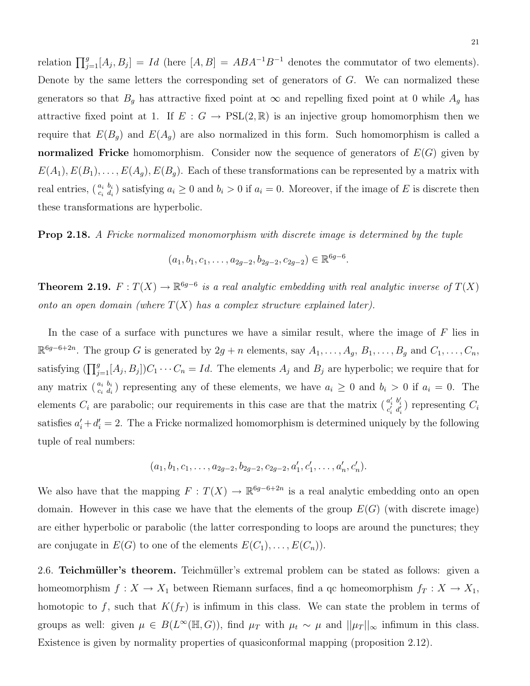relation  $\prod_{j=1}^{g}[A_j, B_j] = Id$  (here  $[A, B] = ABA^{-1}B^{-1}$  denotes the commutator of two elements). Denote by the same letters the corresponding set of generators of G. We can normalized these generators so that  $B_g$  has attractive fixed point at  $\infty$  and repelling fixed point at 0 while  $A_g$  has attractive fixed point at 1. If  $E : G \to \text{PSL}(2,\mathbb{R})$  is an injective group homomorphism then we require that  $E(B_q)$  and  $E(A_q)$  are also normalized in this form. Such homomorphism is called a normalized Fricke homomorphism. Consider now the sequence of generators of  $E(G)$  given by  $E(A_1), E(B_1), \ldots, E(A_g), E(B_g)$ . Each of these transformations can be represented by a matrix with real entries,  $\binom{a_i b_i}{c_i d_i}$  satisfying  $a_i \geq 0$  and  $b_i > 0$  if  $a_i = 0$ . Moreover, if the image of E is discrete then these transformations are hyperbolic.

Prop 2.18. A Fricke normalized monomorphism with discrete image is determined by the tuple

 $(a_1, b_1, c_1, \ldots, a_{2g-2}, b_{2g-2}, c_{2g-2}) \in \mathbb{R}^{6g-6}.$ 

**Theorem 2.19.**  $F: T(X) \to \mathbb{R}^{6g-6}$  is a real analytic embedding with real analytic inverse of  $T(X)$ onto an open domain (where  $T(X)$  has a complex structure explained later).

In the case of a surface with punctures we have a similar result, where the image of  $F$  lies in  $\mathbb{R}^{6g-6+2n}$ . The group G is generated by  $2g+n$  elements, say  $A_1, \ldots, A_g$ ,  $B_1, \ldots, B_g$  and  $C_1, \ldots, C_n$ , satisfying  $(\prod_{j=1}^g [A_j, B_j]) C_1 \cdots C_n = Id$ . The elements  $A_j$  and  $B_j$  are hyperbolic; we require that for any matrix  $\binom{a_i b_i}{c_i d_i}$  representing any of these elements, we have  $a_i \geq 0$  and  $b_i > 0$  if  $a_i = 0$ . The elements  $C_i$  are parabolic; our requirements in this case are that the matrix  $\begin{pmatrix} a'_i & b'_i \ c'_i & d'_i \end{pmatrix}$  representing  $C_i$ satisfies  $a'_i + d'_i = 2$ . The a Fricke normalized homomorphism is determined uniquely by the following tuple of real numbers:

$$
(a_1, b_1, c_1, \ldots, a_{2g-2}, b_{2g-2}, c_{2g-2}, a'_1, c'_1, \ldots, a'_n, c'_n).
$$

We also have that the mapping  $F: T(X) \to \mathbb{R}^{6g-6+2n}$  is a real analytic embedding onto an open domain. However in this case we have that the elements of the group  $E(G)$  (with discrete image) are either hyperbolic or parabolic (the latter corresponding to loops are around the punctures; they are conjugate in  $E(G)$  to one of the elements  $E(C_1), \ldots, E(C_n)$ .

2.6. Teichmüller's theorem. Teichmüller's extremal problem can be stated as follows: given a homeomorphism  $f: X \to X_1$  between Riemann surfaces, find a qc homeomorphism  $f_T: X \to X_1$ , homotopic to f, such that  $K(f_T)$  is infimum in this class. We can state the problem in terms of groups as well: given  $\mu \in B(L^{\infty}(\mathbb{H}, G))$ , find  $\mu_T$  with  $\mu_t \sim \mu$  and  $||\mu_T||_{\infty}$  infimum in this class. Existence is given by normality properties of quasiconformal mapping (proposition 2.12).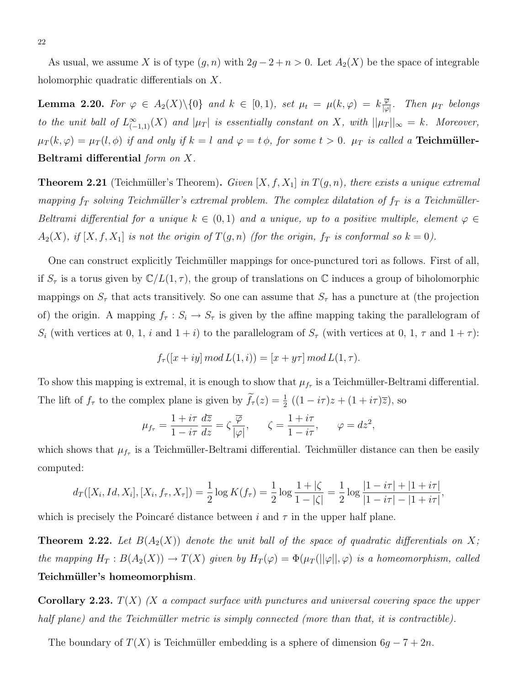As usual, we assume X is of type  $(g, n)$  with  $2g - 2 + n > 0$ . Let  $A_2(X)$  be the space of integrable holomorphic quadratic differentials on X.

**Lemma 2.20.** For  $\varphi \in A_2(X)\backslash\{0\}$  and  $k \in [0,1)$ , set  $\mu_t = \mu(k,\varphi) = k \frac{\overline{\varphi}}{\log k}$  $\frac{\varphi}{|\varphi|}$ . Then  $\mu_T$  belongs to the unit ball of  $L_{(-1,1)}^{\infty}(X)$  and  $|\mu_T|$  is essentially constant on X, with  $||\mu_T||_{\infty} = k$ . Moreover,  $\mu_T(k,\varphi) = \mu_T(l,\phi)$  if and only if  $k = l$  and  $\varphi = t\phi$ , for some  $t > 0$ .  $\mu_T$  is called a **Teichmüller-**Beltrami differential form on X.

**Theorem 2.21** (Teichmüller's Theorem). Given  $[X, f, X_1]$  in  $T(g, n)$ , there exists a unique extremal mapping  $f_T$  solving Teichmüller's extremal problem. The complex dilatation of  $f_T$  is a Teichmüller-Beltrami differential for a unique  $k \in (0,1)$  and a unique, up to a positive multiple, element  $\varphi \in$  $A_2(X)$ , if  $[X, f, X_1]$  is not the origin of  $T(g, n)$  (for the origin,  $f_T$  is conformal so  $k = 0$ ).

One can construct explicitly Teichmüller mappings for once-punctured tori as follows. First of all, if  $S_{\tau}$  is a torus given by  $\mathbb{C}/L(1,\tau)$ , the group of translations on  $\mathbb C$  induces a group of biholomorphic mappings on  $S_{\tau}$  that acts transitively. So one can assume that  $S_{\tau}$  has a puncture at (the projection of) the origin. A mapping  $f_\tau : S_i \to S_\tau$  is given by the affine mapping taking the parallelogram of  $S_i$  (with vertices at 0, 1, i and  $1+i$ ) to the parallelogram of  $S_{\tau}$  (with vertices at 0, 1,  $\tau$  and  $1+\tau$ ):

$$
f_{\tau}([x+iy] \mod L(1,i)) = [x+ y\tau] \mod L(1,\tau).
$$

To show this mapping is extremal, it is enough to show that  $\mu_{f_{\tau}}$  is a Teichmüller-Beltrami differential. The lift of  $f_{\tau}$  to the complex plane is given by  $\tilde{f}_{\tau}(z) = \frac{1}{2} ((1 - i\tau)z + (1 + i\tau)\overline{z})$ , so

$$
\mu_{f_{\tau}} = \frac{1 + i\tau}{1 - i\tau} \frac{d\overline{z}}{dz} = \zeta \frac{\overline{\varphi}}{|\varphi|}, \qquad \zeta = \frac{1 + i\tau}{1 - i\tau}, \qquad \varphi = dz^2,
$$

which shows that  $\mu_{f_{\tau}}$  is a Teichmüller-Beltrami differential. Teichmüller distance can then be easily computed:

$$
d_T([X_i, Id, X_i], [X_i, f_\tau, X_\tau]) = \frac{1}{2} \log K(f_\tau) = \frac{1}{2} \log \frac{1+|\zeta|}{1-|\zeta|} = \frac{1}{2} \log \frac{|1-i\tau|+|1+i\tau|}{|1-i\tau| - |1+i\tau|},
$$

which is precisely the Poincaré distance between i and  $\tau$  in the upper half plane.

**Theorem 2.22.** Let  $B(A_2(X))$  denote the unit ball of the space of quadratic differentials on X; the mapping  $H_T : B(A_2(X)) \to T(X)$  given by  $H_T(\varphi) = \Phi(\mu_T(||\varphi||, \varphi))$  is a homeomorphism, called Teichmüller's homeomorphism.

**Corollary 2.23.**  $T(X)$  (X a compact surface with punctures and universal covering space the upper half plane) and the Teichmüller metric is simply connected (more than that, it is contractible).

The boundary of  $T(X)$  is Teichmüller embedding is a sphere of dimension  $6g - 7 + 2n$ .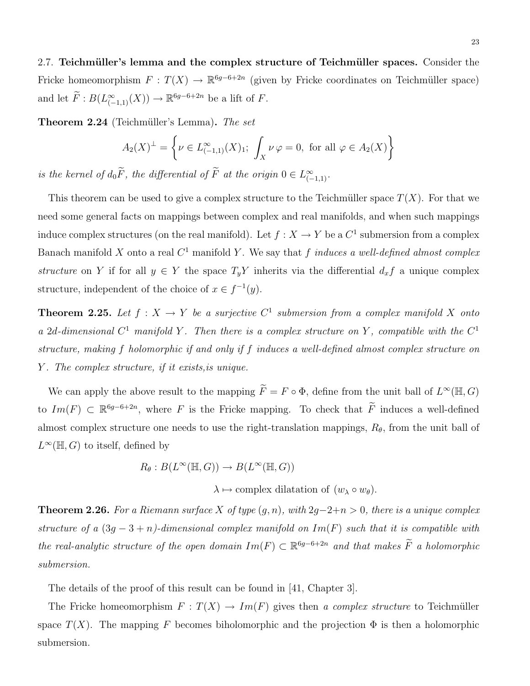2.7. Teichmüller's lemma and the complex structure of Teichmüller spaces. Consider the Fricke homeomorphism  $F: T(X) \to \mathbb{R}^{6g-6+2n}$  (given by Fricke coordinates on Teichmüller space) and let  $\widetilde{F}: B(L^{\infty}_{(-1,1)}(X)) \to \mathbb{R}^{6g-6+2n}$  be a lift of F.

**Theorem 2.24** (Teichmüller's Lemma). The set

$$
A_2(X)^{\perp} = \left\{ \nu \in L^{\infty}_{(-1,1)}(X)_1; \ \int_X \nu \, \varphi = 0, \text{ for all } \varphi \in A_2(X) \right\}
$$

is the kernel of  $d_0F$ , the differential of  $\tilde{F}$  at the origin  $0 \in L^{\infty}_{(-1,1)}$ .

This theorem can be used to give a complex structure to the Teichmüller space  $T(X)$ . For that we need some general facts on mappings between complex and real manifolds, and when such mappings induce complex structures (on the real manifold). Let  $f: X \to Y$  be a  $C^1$  submersion from a complex Banach manifold X onto a real  $C^1$  manifold Y. We say that f induces a well-defined almost complex structure on Y if for all  $y \in Y$  the space  $T_y Y$  inherits via the differential  $d_x f$  a unique complex structure, independent of the choice of  $x \in f^{-1}(y)$ .

**Theorem 2.25.** Let  $f: X \to Y$  be a surjective  $C^1$  submersion from a complex manifold X onto a 2d-dimensional  $C^1$  manifold Y. Then there is a complex structure on Y, compatible with the  $C^1$ structure, making f holomorphic if and only if f induces a well-defined almost complex structure on Y . The complex structure, if it exists,is unique.

We can apply the above result to the mapping  $\widetilde{F} = F \circ \Phi$ , define from the unit ball of  $L^{\infty}(\mathbb{H}, G)$ to  $Im(F) \subset \mathbb{R}^{6g-6+2n}$ , where F is the Fricke mapping. To check that  $\widetilde{F}$  induces a well-defined almost complex structure one needs to use the right-translation mappings,  $R_{\theta}$ , from the unit ball of  $L^{\infty}(\mathbb{H}, G)$  to itself, defined by

$$
R_{\theta}: B(L^{\infty}(\mathbb{H}, G)) \to B(L^{\infty}(\mathbb{H}, G))
$$

 $\lambda \mapsto$  complex dilatation of  $(w_\lambda \circ w_\theta)$ .

Theorem 2.26. For a Riemann surface X of type  $(g, n)$ , with  $2g-2+n > 0$ , there is a unique complex structure of a  $(3g - 3 + n)$ -dimensional complex manifold on Im(F) such that it is compatible with the real-analytic structure of the open domain  $Im(F) \subset \mathbb{R}^{6g-6+2n}$  and that makes  $\widetilde{F}$  a holomorphic submersion.

The details of the proof of this result can be found in [41, Chapter 3].

The Fricke homeomorphism  $F: T(X) \to Im(F)$  gives then a complex structure to Teichmüller space  $T(X)$ . The mapping F becomes biholomorphic and the projection  $\Phi$  is then a holomorphic submersion.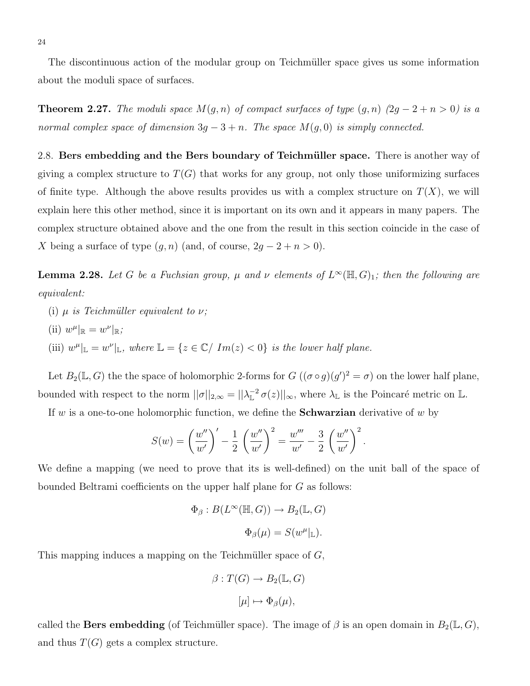The discontinuous action of the modular group on Teichmüller space gives us some information about the moduli space of surfaces.

**Theorem 2.27.** The moduli space  $M(g, n)$  of compact surfaces of type  $(g, n)$   $(2g - 2 + n > 0)$  is a normal complex space of dimension  $3g - 3 + n$ . The space  $M(g, 0)$  is simply connected.

2.8. Bers embedding and the Bers boundary of Teichmüller space. There is another way of giving a complex structure to  $T(G)$  that works for any group, not only those uniformizing surfaces of finite type. Although the above results provides us with a complex structure on  $T(X)$ , we will explain here this other method, since it is important on its own and it appears in many papers. The complex structure obtained above and the one from the result in this section coincide in the case of X being a surface of type  $(g, n)$  (and, of course,  $2g - 2 + n > 0$ ).

**Lemma 2.28.** Let G be a Fuchsian group,  $\mu$  and  $\nu$  elements of  $L^{\infty}(\mathbb{H}, G)$ <sub>1</sub>; then the following are equivalent:

- (i)  $\mu$  is Teichmüller equivalent to  $\nu$ ;
- (ii)  $w^{\mu}|_{\mathbb{R}} = w^{\nu}|_{\mathbb{R}};$
- (iii)  $w^{\mu}|_{\mathbb{L}} = w^{\nu}|_{\mathbb{L}}$ , where  $\mathbb{L} = \{z \in \mathbb{C} / Im(z) < 0\}$  is the lower half plane.

Let  $B_2(\mathbb{L}, G)$  the the space of holomorphic 2-forms for  $G((\sigma \circ g)(g')^2 = \sigma)$  on the lower half plane, bounded with respect to the norm  $||\sigma||_{2,\infty} = ||\lambda_{\mathbb{L}}^{-2} \sigma(z)||_{\infty}$ , where  $\lambda_{\mathbb{L}}$  is the Poincaré metric on  $\mathbb{L}$ .

If w is a one-to-one holomorphic function, we define the **Schwarzian** derivative of w by

$$
S(w) = \left(\frac{w''}{w'}\right)' - \frac{1}{2} \left(\frac{w''}{w'}\right)^2 = \frac{w'''}{w'} - \frac{3}{2} \left(\frac{w''}{w'}\right)^2.
$$

We define a mapping (we need to prove that its is well-defined) on the unit ball of the space of bounded Beltrami coefficients on the upper half plane for G as follows:

$$
\Phi_{\beta}: B(L^{\infty}(\mathbb{H}, G)) \to B_2(\mathbb{L}, G)
$$
  

$$
\Phi_{\beta}(\mu) = S(w^{\mu}|_{\mathbb{L}}).
$$

This mapping induces a mapping on the Teichmüller space of  $G$ ,

$$
\beta: T(G) \to B_2(\mathbb{L}, G)
$$

$$
[\mu] \mapsto \Phi_{\beta}(\mu),
$$

called the **Bers embedding** (of Teichmüller space). The image of  $\beta$  is an open domain in  $B_2(\mathbb{L}, G)$ , and thus  $T(G)$  gets a complex structure.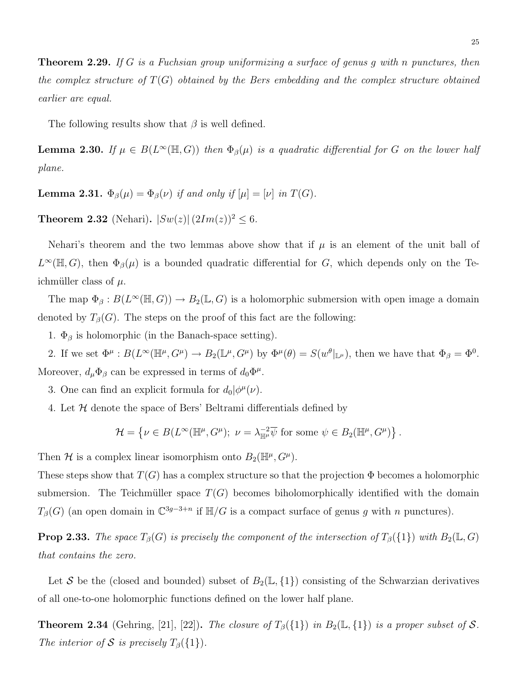**Theorem 2.29.** If G is a Fuchsian group uniformizing a surface of genus g with n punctures, then the complex structure of  $T(G)$  obtained by the Bers embedding and the complex structure obtained earlier are equal.

The following results show that  $\beta$  is well defined.

**Lemma 2.30.** If  $\mu \in B(L^{\infty}(\mathbb{H}, G))$  then  $\Phi_{\beta}(\mu)$  is a quadratic differential for G on the lower half plane.

**Lemma 2.31.**  $\Phi_{\beta}(\mu) = \Phi_{\beta}(\nu)$  if and only if  $[\mu] = [\nu]$  in  $T(G)$ .

**Theorem 2.32** (Nehari).  $|Sw(z)| (2Im(z))^2 \leq 6$ .

Nehari's theorem and the two lemmas above show that if  $\mu$  is an element of the unit ball of  $L^{\infty}(\mathbb{H}, G)$ , then  $\Phi_{\beta}(\mu)$  is a bounded quadratic differential for G, which depends only on the Teichmüller class of  $\mu$ .

The map  $\Phi_{\beta}: B(L^{\infty}(\mathbb{H}, G)) \to B_2(\mathbb{L}, G)$  is a holomorphic submersion with open image a domain denoted by  $T_{\beta}(G)$ . The steps on the proof of this fact are the following:

1.  $\Phi_{\beta}$  is holomorphic (in the Banach-space setting).

2. If we set  $\Phi^{\mu}: B(L^{\infty}(\mathbb{H}^{\mu}, G^{\mu}) \to B_2(\mathbb{L}^{\mu}, G^{\mu})$  by  $\Phi^{\mu}(\theta) = S(w^{\theta}|_{\mathbb{L}^{\mu}})$ , then we have that  $\Phi_{\beta} = \Phi^0$ . Moreover,  $d_{\mu} \Phi_{\beta}$  can be expressed in terms of  $d_0 \Phi^{\mu}$ .

- 3. One can find an explicit formula for  $d_0|\phi^{\mu}(\nu)$ .
- 4. Let  $H$  denote the space of Bers' Beltrami differentials defined by

$$
\mathcal{H} = \left\{ \nu \in B(L^{\infty}(\mathbb{H}^{\mu}, G^{\mu}); \ \nu = \lambda_{\mathbb{H}^{\mu}}^{-2} \overline{\psi} \text{ for some } \psi \in B_2(\mathbb{H}^{\mu}, G^{\mu}) \right\}.
$$

Then H is a complex linear isomorphism onto  $B_2(\mathbb{H}^{\mu}, G^{\mu})$ .

These steps show that  $T(G)$  has a complex structure so that the projection  $\Phi$  becomes a holomorphic submersion. The Teichmüller space  $T(G)$  becomes biholomorphically identified with the domain  $T_\beta(G)$  (an open domain in  $\mathbb{C}^{3g-3+n}$  if  $\mathbb{H}/G$  is a compact surface of genus g with n punctures).

**Prop 2.33.** The space  $T_\beta(G)$  is precisely the component of the intersection of  $T_\beta({1})$  with  $B_2(\mathbb{L}, G)$ that contains the zero.

Let S be the (closed and bounded) subset of  $B_2(\mathbb{L}, \{1\})$  consisting of the Schwarzian derivatives of all one-to-one holomorphic functions defined on the lower half plane.

**Theorem 2.34** (Gehring, [21], [22]). The closure of  $T_\beta({1})$  in  $B_2(\mathbb{L}, {1})$  is a proper subset of S. The interior of S is precisely  $T_\beta({1}).$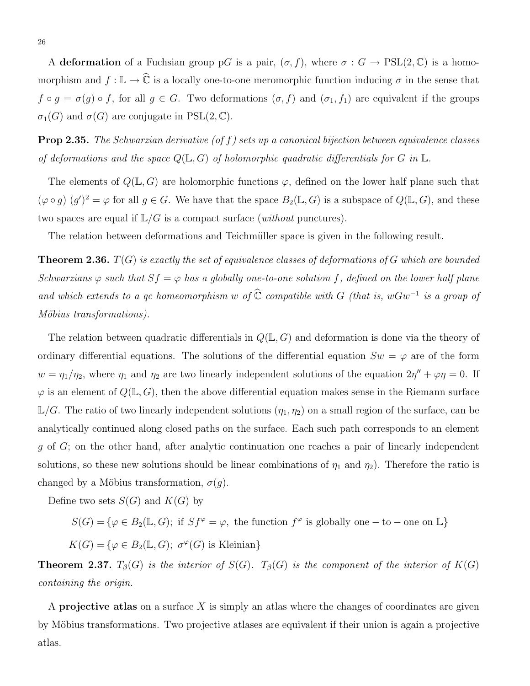A deformation of a Fuchsian group pG is a pair,  $(\sigma, f)$ , where  $\sigma : G \to \text{PSL}(2, \mathbb{C})$  is a homomorphism and  $f: \mathbb{L} \to \hat{\mathbb{C}}$  is a locally one-to-one meromorphic function inducing  $\sigma$  in the sense that  $f \circ g = \sigma(g) \circ f$ , for all  $g \in G$ . Two deformations  $(\sigma, f)$  and  $(\sigma_1, f_1)$  are equivalent if the groups  $\sigma_1(G)$  and  $\sigma(G)$  are conjugate in PSL(2, C).

**Prop 2.35.** The Schwarzian derivative (of f) sets up a canonical bijection between equivalence classes of deformations and the space  $Q(\mathbb{L}, G)$  of holomorphic quadratic differentials for G in  $\mathbb{L}$ .

The elements of  $Q(\mathbb{L}, G)$  are holomorphic functions  $\varphi$ , defined on the lower half plane such that  $(\varphi \circ g)(g')^2 = \varphi$  for all  $g \in G$ . We have that the space  $B_2(\mathbb{L}, G)$  is a subspace of  $Q(\mathbb{L}, G)$ , and these two spaces are equal if  $\mathbb{L}/G$  is a compact surface (*without* punctures).

The relation between deformations and Teichmüller space is given in the following result.

**Theorem 2.36.**  $T(G)$  is exactly the set of equivalence classes of deformations of G which are bounded Schwarzians  $\varphi$  such that  $Sf = \varphi$  has a globally one-to-one solution f, defined on the lower half plane and which extends to a qc homeomorphism w of  $\widehat{\mathbb{C}}$  compatible with G (that is, wGw<sup>-1</sup> is a group of Möbius transformations).

The relation between quadratic differentials in  $Q(L, G)$  and deformation is done via the theory of ordinary differential equations. The solutions of the differential equation  $Sw = \varphi$  are of the form  $w = \eta_1/\eta_2$ , where  $\eta_1$  and  $\eta_2$  are two linearly independent solutions of the equation  $2\eta'' + \varphi \eta = 0$ . If  $\varphi$  is an element of  $Q(\mathbb{L}, G)$ , then the above differential equation makes sense in the Riemann surface  $\mathbb{L}/G$ . The ratio of two linearly independent solutions  $(\eta_1, \eta_2)$  on a small region of the surface, can be analytically continued along closed paths on the surface. Each such path corresponds to an element g of G; on the other hand, after analytic continuation one reaches a pair of linearly independent solutions, so these new solutions should be linear combinations of  $\eta_1$  and  $\eta_2$ ). Therefore the ratio is changed by a Möbius transformation,  $\sigma(q)$ .

Define two sets  $S(G)$  and  $K(G)$  by

 $S(G) = \{ \varphi \in B_2(\mathbb{L}, G); \text{ if } Sf^{\varphi} = \varphi, \text{ the function } f^{\varphi} \text{ is globally one} - \text{to} - \text{one on } \mathbb{L} \}$ 

 $K(G) = \{ \varphi \in B_2(\mathbb{L}, G); \ \sigma^{\varphi}(G) \text{ is Kleinian} \}$ 

**Theorem 2.37.**  $T_\beta(G)$  is the interior of  $S(G)$ .  $T_\beta(G)$  is the component of the interior of  $K(G)$ containing the origin.

A **projective atlas** on a surface  $X$  is simply an atlas where the changes of coordinates are given by Möbius transformations. Two projective atlases are equivalent if their union is again a projective atlas.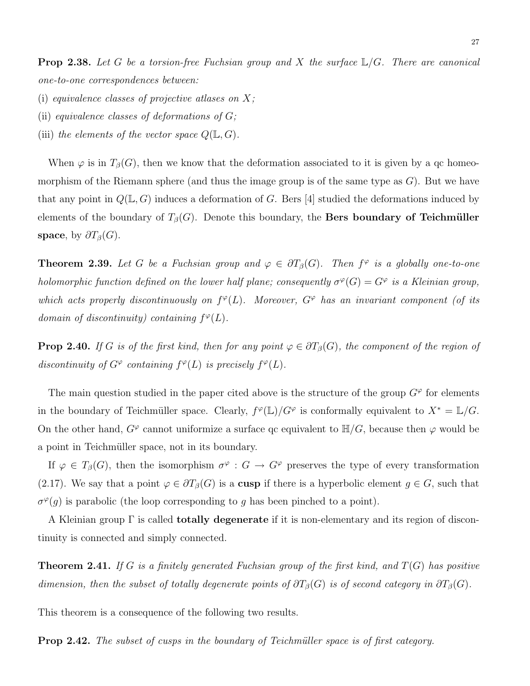**Prop 2.38.** Let G be a torsion-free Fuchsian group and X the surface  $\mathbb{L}/G$ . There are canonical one-to-one correspondences between:

- (i) equivalence classes of projective atlases on  $X$ ;
- (ii) equivalence classes of deformations of  $G$ ;
- (iii) the elements of the vector space  $Q(\mathbb{L}, G)$ .

When  $\varphi$  is in  $T_{\beta}(G)$ , then we know that the deformation associated to it is given by a qc homeomorphism of the Riemann sphere (and thus the image group is of the same type as  $G$ ). But we have that any point in  $Q(\mathbb{L}, G)$  induces a deformation of G. Bers [4] studied the deformations induced by elements of the boundary of  $T_{\beta}(G)$ . Denote this boundary, the **Bers boundary of Teichmüller** space, by  $\partial T_{\beta}(G)$ .

**Theorem 2.39.** Let G be a Fuchsian group and  $\varphi \in \partial T_{\beta}(G)$ . Then  $f^{\varphi}$  is a globally one-to-one holomorphic function defined on the lower half plane; consequently  $\sigma^{\varphi}(G) = G^{\varphi}$  is a Kleinian group, which acts properly discontinuously on  $f^{\varphi}(L)$ . Moreover,  $G^{\varphi}$  has an invariant component (of its domain of discontinuity) containing  $f^{\varphi}(L)$ .

**Prop 2.40.** If G is of the first kind, then for any point  $\varphi \in \partial T_{\beta}(G)$ , the component of the region of discontinuity of  $G^{\varphi}$  containing  $f^{\varphi}(L)$  is precisely  $f^{\varphi}(L)$ .

The main question studied in the paper cited above is the structure of the group  $G^{\varphi}$  for elements in the boundary of Teichmüller space. Clearly,  $f^{\varphi}(\mathbb{L})/G^{\varphi}$  is conformally equivalent to  $X^* = \mathbb{L}/G$ . On the other hand,  $G^{\varphi}$  cannot uniformize a surface qc equivalent to  $\mathbb{H}/G$ , because then  $\varphi$  would be a point in Teichmüller space, not in its boundary.

If  $\varphi \in T_\beta(G)$ , then the isomorphism  $\sigma^\varphi : G \to G^\varphi$  preserves the type of every transformation (2.17). We say that a point  $\varphi \in \partial T_{\beta}(G)$  is a cusp if there is a hyperbolic element  $g \in G$ , such that  $\sigma^{\varphi}(g)$  is parabolic (the loop corresponding to g has been pinched to a point).

A Kleinian group  $\Gamma$  is called **totally degenerate** if it is non-elementary and its region of discontinuity is connected and simply connected.

**Theorem 2.41.** If G is a finitely generated Fuchsian group of the first kind, and  $T(G)$  has positive dimension, then the subset of totally degenerate points of  $\partial T_\beta(G)$  is of second category in  $\partial T_\beta(G)$ .

This theorem is a consequence of the following two results.

Prop 2.42. The subset of cusps in the boundary of Teichmüller space is of first category.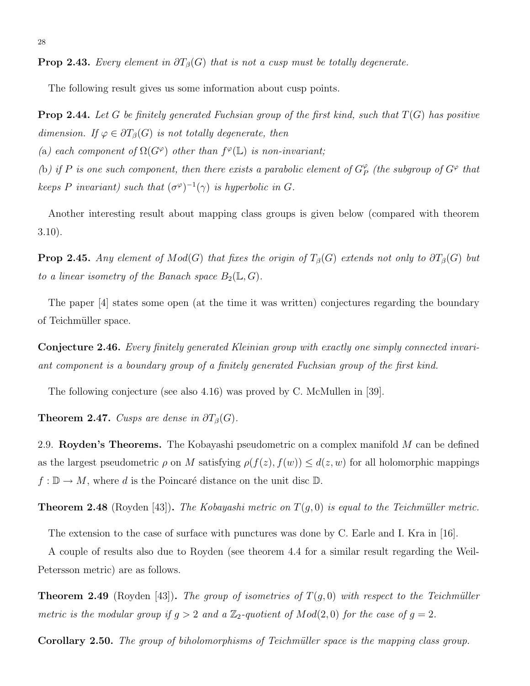**Prop 2.43.** Every element in  $\partial T_{\beta}(G)$  that is not a cusp must be totally degenerate.

The following result gives us some information about cusp points.

**Prop 2.44.** Let G be finitely generated Fuchsian group of the first kind, such that  $T(G)$  has positive dimension. If  $\varphi \in \partial T_{\beta}(G)$  is not totally degenerate, then

(a) each component of  $\Omega(G^{\varphi})$  other than  $f^{\varphi}(\mathbb{L})$  is non-invariant;

(b) if P is one such component, then there exists a parabolic element of  $G_F^{\varphi}$  $_{P}^{\varphi}$  (the subgroup of  $G^{\varphi}$  that keeps P invariant) such that  $(\sigma^{\varphi})^{-1}(\gamma)$  is hyperbolic in G.

Another interesting result about mapping class groups is given below (compared with theorem 3.10).

**Prop 2.45.** Any element of  $Mod(G)$  that fixes the origin of  $T_\beta(G)$  extends not only to  $\partial T_\beta(G)$  but to a linear isometry of the Banach space  $B_2(\mathbb{L}, G)$ .

The paper [4] states some open (at the time it was written) conjectures regarding the boundary of Teichmüller space.

Conjecture 2.46. Every finitely generated Kleinian group with exactly one simply connected invariant component is a boundary group of a finitely generated Fuchsian group of the first kind.

The following conjecture (see also 4.16) was proved by C. McMullen in [39].

**Theorem 2.47.** Cusps are dense in  $\partial T_\beta(G)$ .

2.9. Royden's Theorems. The Kobayashi pseudometric on a complex manifold M can be defined as the largest pseudometric  $\rho$  on M satisfying  $\rho(f(z), f(w)) \leq d(z, w)$  for all holomorphic mappings  $f: \mathbb{D} \to M$ , where d is the Poincaré distance on the unit disc  $\mathbb{D}$ .

**Theorem 2.48** (Royden [43]). The Kobayashi metric on  $T(g, 0)$  is equal to the Teichmüller metric.

The extension to the case of surface with punctures was done by C. Earle and I. Kra in [16].

A couple of results also due to Royden (see theorem 4.4 for a similar result regarding the Weil-Petersson metric) are as follows.

**Theorem 2.49** (Royden [43]). The group of isometries of  $T(g, 0)$  with respect to the Teichmüller metric is the modular group if  $g > 2$  and a  $\mathbb{Z}_2$ -quotient of  $Mod(2, 0)$  for the case of  $g = 2$ .

Corollary 2.50. The group of biholomorphisms of Teichmüller space is the mapping class group.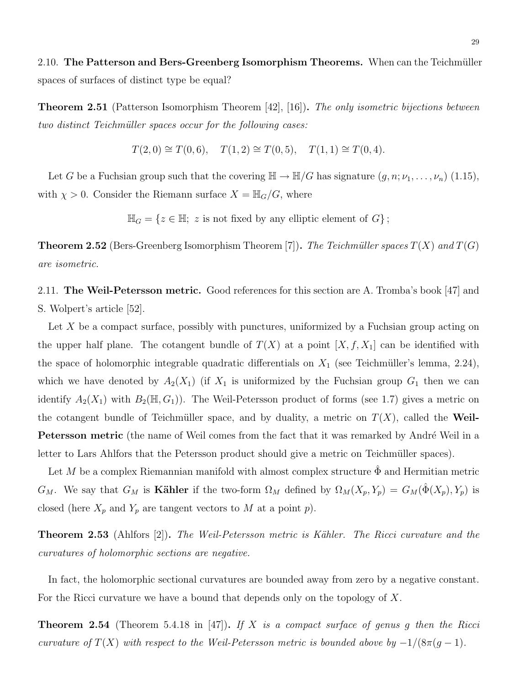2.10. The Patterson and Bers-Greenberg Isomorphism Theorems. When can the Teichmüller spaces of surfaces of distinct type be equal?

**Theorem 2.51** (Patterson Isomorphism Theorem [42], [16]). The only isometric bijections between two distinct Teichmüller spaces occur for the following cases:

$$
T(2,0) \cong T(0,6), \quad T(1,2) \cong T(0,5), \quad T(1,1) \cong T(0,4).
$$

Let G be a Fuchsian group such that the covering  $\mathbb{H} \to \mathbb{H}/G$  has signature  $(g, n; \nu_1, \ldots, \nu_n)$  (1.15), with  $\chi > 0$ . Consider the Riemann surface  $X = \mathbb{H}_G/G$ , where

 $\mathbb{H}_G = \{z \in \mathbb{H}; z \text{ is not fixed by any elliptic element of } G\};$ 

**Theorem 2.52** (Bers-Greenberg Isomorphism Theorem [7]). The Teichmüller spaces  $T(X)$  and  $T(G)$ are isometric.

2.11. The Weil-Petersson metric. Good references for this section are A. Tromba's book [47] and S. Wolpert's article [52].

Let X be a compact surface, possibly with punctures, uniformized by a Fuchsian group acting on the upper half plane. The cotangent bundle of  $T(X)$  at a point  $[X, f, X_1]$  can be identified with the space of holomorphic integrable quadratic differentials on  $X_1$  (see Teichmüller's lemma, 2.24), which we have denoted by  $A_2(X_1)$  (if  $X_1$  is uniformized by the Fuchsian group  $G_1$  then we can identify  $A_2(X_1)$  with  $B_2(\mathbb{H}, G_1)$ . The Weil-Petersson product of forms (see 1.7) gives a metric on the cotangent bundle of Teichmüller space, and by duality, a metric on  $T(X)$ , called the Weil-Petersson metric (the name of Weil comes from the fact that it was remarked by André Weil in a letter to Lars Ahlfors that the Petersson product should give a metric on Teichmüller spaces).

Let M be a complex Riemannian manifold with almost complex structure  $\hat{\Phi}$  and Hermitian metric  $G_M$ . We say that  $G_M$  is **Kähler** if the two-form  $\Omega_M$  defined by  $\Omega_M(X_p, Y_p) = G_M(\hat{\Phi}(X_p), Y_p)$  is closed (here  $X_p$  and  $Y_p$  are tangent vectors to M at a point p).

**Theorem 2.53** (Ahlfors [2]). The Weil-Petersson metric is Kähler. The Ricci curvature and the curvatures of holomorphic sections are negative.

In fact, the holomorphic sectional curvatures are bounded away from zero by a negative constant. For the Ricci curvature we have a bound that depends only on the topology of X.

**Theorem 2.54** (Theorem 5.4.18 in [47]). If X is a compact surface of genus g then the Ricci curvature of  $T(X)$  with respect to the Weil-Petersson metric is bounded above by  $-1/(8\pi(g-1))$ .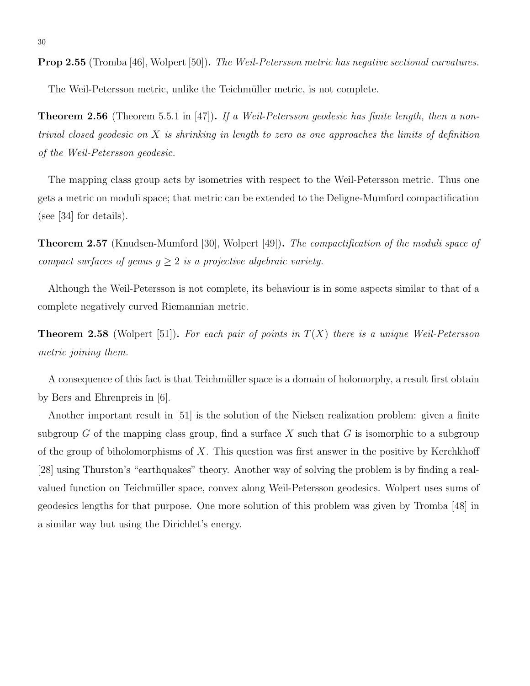Prop 2.55 (Tromba [46], Wolpert [50]). The Weil-Petersson metric has negative sectional curvatures.

The Weil-Petersson metric, unlike the Teichmüller metric, is not complete.

**Theorem 2.56** (Theorem 5.5.1 in [47]). If a Weil-Petersson geodesic has finite length, then a nontrivial closed geodesic on X is shrinking in length to zero as one approaches the limits of definition of the Weil-Petersson geodesic.

The mapping class group acts by isometries with respect to the Weil-Petersson metric. Thus one gets a metric on moduli space; that metric can be extended to the Deligne-Mumford compactification (see [34] for details).

**Theorem 2.57** (Knudsen-Mumford [30], Wolpert [49]). The compactification of the moduli space of compact surfaces of genus  $q \geq 2$  is a projective algebraic variety.

Although the Weil-Petersson is not complete, its behaviour is in some aspects similar to that of a complete negatively curved Riemannian metric.

**Theorem 2.58** (Wolpert [51]). For each pair of points in  $T(X)$  there is a unique Weil-Petersson metric joining them.

A consequence of this fact is that Teichmüller space is a domain of holomorphy, a result first obtain by Bers and Ehrenpreis in [6].

Another important result in [51] is the solution of the Nielsen realization problem: given a finite subgroup G of the mapping class group, find a surface X such that G is isomorphic to a subgroup of the group of biholomorphisms of  $X$ . This question was first answer in the positive by Kerchkhoff [28] using Thurston's "earthquakes" theory. Another way of solving the problem is by finding a realvalued function on Teichmüller space, convex along Weil-Petersson geodesics. Wolpert uses sums of geodesics lengths for that purpose. One more solution of this problem was given by Tromba [48] in a similar way but using the Dirichlet's energy.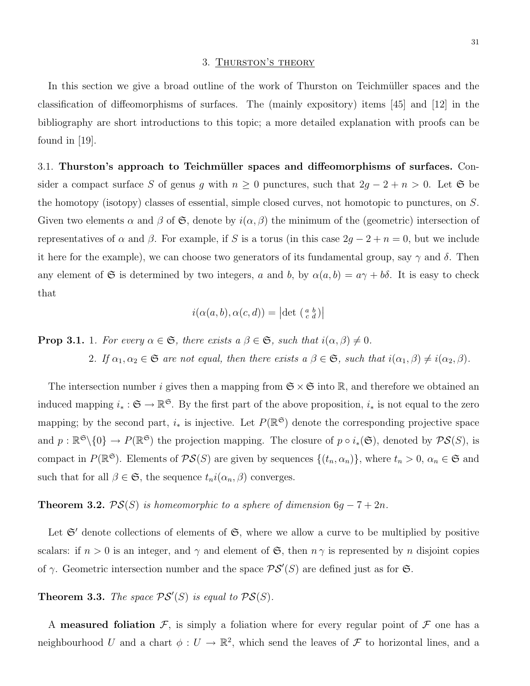#### 3. Thurston's theory

In this section we give a broad outline of the work of Thurston on Teichmüller spaces and the classification of diffeomorphisms of surfaces. The (mainly expository) items [45] and [12] in the bibliography are short introductions to this topic; a more detailed explanation with proofs can be found in  $|19|$ .

3.1. Thurston's approach to Teichmüller spaces and diffeomorphisms of surfaces. Consider a compact surface S of genus g with  $n \geq 0$  punctures, such that  $2g - 2 + n > 0$ . Let G be the homotopy (isotopy) classes of essential, simple closed curves, not homotopic to punctures, on S. Given two elements  $\alpha$  and  $\beta$  of  $\mathfrak{S}$ , denote by  $i(\alpha, \beta)$  the minimum of the (geometric) intersection of representatives of  $\alpha$  and  $\beta$ . For example, if S is a torus (in this case  $2g - 2 + n = 0$ , but we include it here for the example), we can choose two generators of its fundamental group, say  $\gamma$  and  $\delta$ . Then any element of G is determined by two integers, a and b, by  $\alpha(a, b) = a\gamma + b\delta$ . It is easy to check that

$$
i(\alpha(a,b),\alpha(c,d)) = |\det\left(\begin{smallmatrix} a & b \\ c & d \end{smallmatrix}\right)|
$$

**Prop 3.1.** 1. For every  $\alpha \in \mathfrak{S}$ , there exists  $a \beta \in \mathfrak{S}$ , such that  $i(\alpha, \beta) \neq 0$ .

2. If  $\alpha_1, \alpha_2 \in \mathfrak{S}$  are not equal, then there exists  $a \beta \in \mathfrak{S}$ , such that  $i(\alpha_1, \beta) \neq i(\alpha_2, \beta)$ .

The intersection number i gives then a mapping from  $\mathfrak{S} \times \mathfrak{S}$  into  $\mathbb{R}$ , and therefore we obtained an induced mapping  $i_* : \mathfrak{S} \to \mathbb{R}^\mathfrak{S}$ . By the first part of the above proposition,  $i_*$  is not equal to the zero mapping; by the second part,  $i_*$  is injective. Let  $P(\mathbb{R}^{\mathfrak{S}})$  denote the corresponding projective space and  $p: \mathbb{R}^{\mathfrak{S}}\backslash\{0\} \to P(\mathbb{R}^{\mathfrak{S}})$  the projection mapping. The closure of  $p \circ i_*(\mathfrak{S})$ , denoted by  $\mathcal{PS}(S)$ , is compact in  $P(\mathbb{R}^{\mathfrak{S}})$ . Elements of  $\mathcal{PS}(S)$  are given by sequences  $\{(t_n, \alpha_n)\}\$ , where  $t_n > 0$ ,  $\alpha_n \in \mathfrak{S}$  and such that for all  $\beta \in \mathfrak{S}$ , the sequence  $t_n i(\alpha_n, \beta)$  converges.

## **Theorem 3.2.**  $PS(S)$  is homeomorphic to a sphere of dimension  $6g - 7 + 2n$ .

Let  $\mathfrak{S}'$  denote collections of elements of  $\mathfrak{S}$ , where we allow a curve to be multiplied by positive scalars: if  $n > 0$  is an integer, and  $\gamma$  and element of  $\mathfrak{S}$ , then  $n \gamma$  is represented by n disjoint copies of  $\gamma$ . Geometric intersection number and the space  $\mathcal{PS}'(S)$  are defined just as for  $\mathfrak{S}$ .

**Theorem 3.3.** The space  $\mathcal{PS}'(S)$  is equal to  $\mathcal{PS}(S)$ .

A **measured foliation**  $\mathcal{F}$ , is simply a foliation where for every regular point of  $\mathcal{F}$  one has a neighbourhood U and a chart  $\phi: U \to \mathbb{R}^2$ , which send the leaves of F to horizontal lines, and a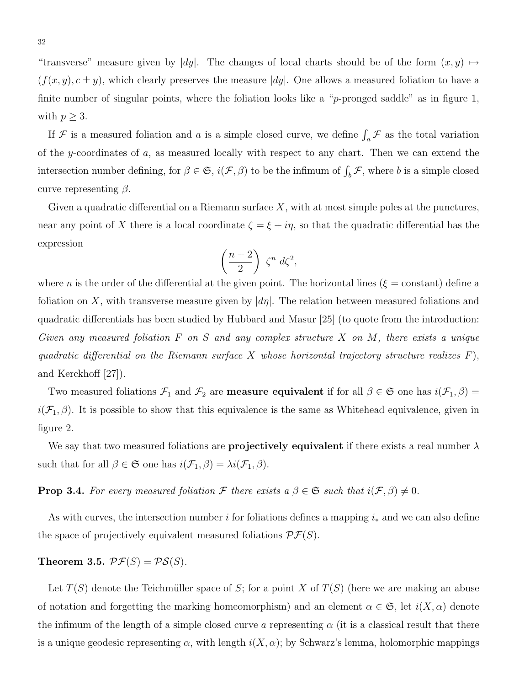"transverse" measure given by  $|dy|$ . The changes of local charts should be of the form  $(x, y) \mapsto$  $(f(x, y), c \pm y)$ , which clearly preserves the measure |dy|. One allows a measured foliation to have a finite number of singular points, where the foliation looks like a "p-pronged saddle" as in figure 1, with  $p \geq 3$ .

If F is a measured foliation and a is a simple closed curve, we define  $\int_a \mathcal{F}$  as the total variation of the y-coordinates of  $a$ , as measured locally with respect to any chart. Then we can extend the intersection number defining, for  $\beta \in \mathfrak{S}$ ,  $i(\mathcal{F}, \beta)$  to be the infimum of  $\int_b \mathcal{F}$ , where b is a simple closed curve representing  $\beta$ .

Given a quadratic differential on a Riemann surface  $X$ , with at most simple poles at the punctures, near any point of X there is a local coordinate  $\zeta = \xi + i\eta$ , so that the quadratic differential has the expression

$$
\left(\frac{n+2}{2}\right)\,\zeta^n\,d\zeta^2,
$$

where n is the order of the differential at the given point. The horizontal lines ( $\xi$  = constant) define a foliation on X, with transverse measure given by  $\left| d\eta \right|$ . The relation between measured foliations and quadratic differentials has been studied by Hubbard and Masur [25] (to quote from the introduction: Given any measured foliation  $F$  on  $S$  and any complex structure  $X$  on  $M$ , there exists a unique quadratic differential on the Riemann surface X whose horizontal trajectory structure realizes  $F$ ), and Kerckhoff [27]).

Two measured foliations  $\mathcal{F}_1$  and  $\mathcal{F}_2$  are **measure equivalent** if for all  $\beta \in \mathfrak{S}$  one has  $i(\mathcal{F}_1, \beta)$  $i(\mathcal{F}_1,\beta)$ . It is possible to show that this equivalence is the same as Whitehead equivalence, given in figure 2.

We say that two measured foliations are **projectively equivalent** if there exists a real number  $\lambda$ such that for all  $\beta \in \mathfrak{S}$  one has  $i(\mathcal{F}_1, \beta) = \lambda i(\mathcal{F}_1, \beta)$ .

**Prop 3.4.** For every measured foliation F there exists a  $\beta \in \mathfrak{S}$  such that  $i(\mathcal{F}, \beta) \neq 0$ .

As with curves, the intersection number i for foliations defines a mapping  $i_*$  and we can also define the space of projectively equivalent measured foliations  $\mathcal{PF}(S)$ .

Theorem 3.5.  $\mathcal{PF}(S) = \mathcal{PS}(S)$ .

Let  $T(S)$  denote the Teichmüller space of S; for a point X of  $T(S)$  (here we are making an abuse of notation and forgetting the marking homeomorphism) and an element  $\alpha \in \mathfrak{S}$ , let  $i(X, \alpha)$  denote the infimum of the length of a simple closed curve a representing  $\alpha$  (it is a classical result that there is a unique geodesic representing  $\alpha$ , with length  $i(X, \alpha)$ ; by Schwarz's lemma, holomorphic mappings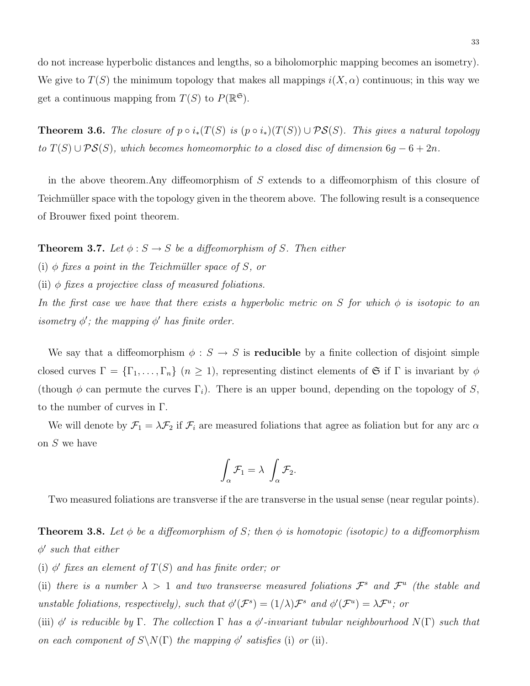do not increase hyperbolic distances and lengths, so a biholomorphic mapping becomes an isometry). We give to  $T(S)$  the minimum topology that makes all mappings  $i(X, \alpha)$  continuous; in this way we get a continuous mapping from  $T(S)$  to  $P(\mathbb{R}^{\mathfrak{S}})$ .

**Theorem 3.6.** The closure of  $p \circ i_*(T(S)$  is  $(p \circ i_*)(T(S)) \cup \mathcal{PS}(S)$ . This gives a natural topology to  $T(S) \cup PS(S)$ , which becomes homeomorphic to a closed disc of dimension  $6g - 6 + 2n$ .

in the above theorem.Any diffeomorphism of S extends to a diffeomorphism of this closure of Teichmüller space with the topology given in the theorem above. The following result is a consequence of Brouwer fixed point theorem.

**Theorem 3.7.** Let  $\phi : S \to S$  be a diffeomorphism of S. Then either

(i)  $\phi$  fixes a point in the Teichmüller space of S, or

(ii)  $\phi$  fixes a projective class of measured foliations.

In the first case we have that there exists a hyperbolic metric on S for which  $\phi$  is isotopic to an isometry  $\phi'$ ; the mapping  $\phi'$  has finite order.

We say that a diffeomorphism  $\phi : S \to S$  is **reducible** by a finite collection of disjoint simple closed curves  $\Gamma = {\{\Gamma_1,\ldots,\Gamma_n\}}$   $(n \geq 1)$ , representing distinct elements of G if  $\Gamma$  is invariant by  $\phi$ (though  $\phi$  can permute the curves  $\Gamma_i$ ). There is an upper bound, depending on the topology of S, to the number of curves in Γ.

We will denote by  $\mathcal{F}_1 = \lambda \mathcal{F}_2$  if  $\mathcal{F}_i$  are measured foliations that agree as foliation but for any arc  $\alpha$ on S we have

$$
\int_{\alpha} \mathcal{F}_1 = \lambda \int_{\alpha} \mathcal{F}_2.
$$

Two measured foliations are transverse if the are transverse in the usual sense (near regular points).

**Theorem 3.8.** Let  $\phi$  be a diffeomorphism of S; then  $\phi$  is homotopic (isotopic) to a diffeomorphism  $\phi'$  such that either

(i)  $\phi'$  fixes an element of  $T(S)$  and has finite order; or

(ii) there is a number  $\lambda > 1$  and two transverse measured foliations  $\mathcal{F}^s$  and  $\mathcal{F}^u$  (the stable and unstable foliations, respectively), such that  $\phi'(\mathcal{F}^s) = (1/\lambda)\mathcal{F}^s$  and  $\phi'(\mathcal{F}^u) = \lambda\mathcal{F}^u$ ; or

(iii)  $\phi'$  is reducible by  $\Gamma$ . The collection  $\Gamma$  has a  $\phi'$ -invariant tubular neighbourhood  $N(\Gamma)$  such that on each component of  $S\setminus N(\Gamma)$  the mapping  $\phi'$  satisfies (i) or (ii).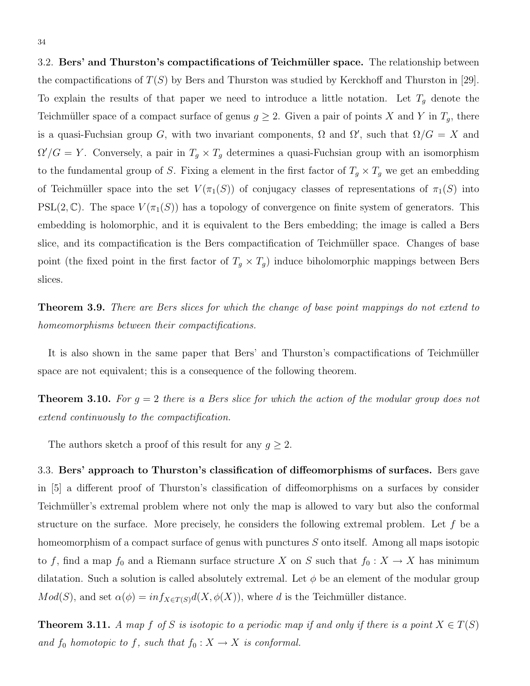3.2. Bers' and Thurston's compactifications of Teichmüller space. The relationship between the compactifications of  $T(S)$  by Bers and Thurston was studied by Kerckhoff and Thurston in [29]. To explain the results of that paper we need to introduce a little notation. Let  $T_g$  denote the Teichmüller space of a compact surface of genus  $g \geq 2$ . Given a pair of points X and Y in  $T_g$ , there is a quasi-Fuchsian group G, with two invariant components,  $\Omega$  and  $\Omega'$ , such that  $\Omega/G = X$  and  $\Omega'/G = Y$ . Conversely, a pair in  $T_g \times T_g$  determines a quasi-Fuchsian group with an isomorphism to the fundamental group of S. Fixing a element in the first factor of  $T_g \times T_g$  we get an embedding of Teichmüller space into the set  $V(\pi_1(S))$  of conjugacy classes of representations of  $\pi_1(S)$  into  $PSL(2,\mathbb{C})$ . The space  $V(\pi_1(S))$  has a topology of convergence on finite system of generators. This embedding is holomorphic, and it is equivalent to the Bers embedding; the image is called a Bers slice, and its compactification is the Bers compactification of Teichmüller space. Changes of base point (the fixed point in the first factor of  $T_g \times T_g$ ) induce biholomorphic mappings between Bers slices.

Theorem 3.9. There are Bers slices for which the change of base point mappings do not extend to homeomorphisms between their compactifications.

It is also shown in the same paper that Bers' and Thurston's compactifications of Teichmüller space are not equivalent; this is a consequence of the following theorem.

**Theorem 3.10.** For  $g = 2$  there is a Bers slice for which the action of the modular group does not extend continuously to the compactification.

The authors sketch a proof of this result for any  $g \geq 2$ .

3.3. Bers' approach to Thurston's classification of diffeomorphisms of surfaces. Bers gave in [5] a different proof of Thurston's classification of diffeomorphisms on a surfaces by consider Teichmüller's extremal problem where not only the map is allowed to vary but also the conformal structure on the surface. More precisely, he considers the following extremal problem. Let  $f$  be a homeomorphism of a compact surface of genus with punctures S onto itself. Among all maps isotopic to f, find a map  $f_0$  and a Riemann surface structure X on S such that  $f_0 : X \to X$  has minimum dilatation. Such a solution is called absolutely extremal. Let  $\phi$  be an element of the modular group  $Mod(S)$ , and set  $\alpha(\phi) = inf_{X \in T(S)} d(X, \phi(X))$ , where d is the Teichmüller distance.

**Theorem 3.11.** A map f of S is isotopic to a periodic map if and only if there is a point  $X \in T(S)$ and  $f_0$  homotopic to  $f$ , such that  $f_0 : X \to X$  is conformal.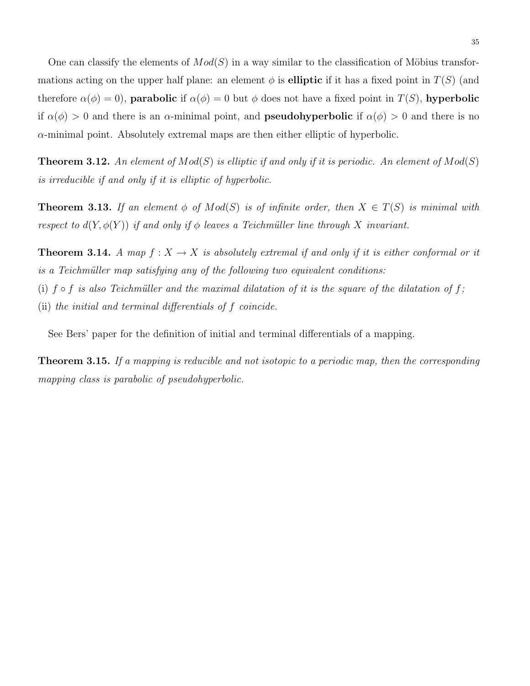One can classify the elements of  $Mod(S)$  in a way similar to the classification of Möbius transformations acting on the upper half plane: an element  $\phi$  is **elliptic** if it has a fixed point in  $T(S)$  (and therefore  $\alpha(\phi) = 0$ , **parabolic** if  $\alpha(\phi) = 0$  but  $\phi$  does not have a fixed point in  $T(S)$ , **hyperbolic** if  $\alpha(\phi) > 0$  and there is an  $\alpha$ -minimal point, and **pseudohyperbolic** if  $\alpha(\phi) > 0$  and there is no  $\alpha$ -minimal point. Absolutely extremal maps are then either elliptic of hyperbolic.

**Theorem 3.12.** An element of  $Mod(S)$  is elliptic if and only if it is periodic. An element of  $Mod(S)$ is irreducible if and only if it is elliptic of hyperbolic.

**Theorem 3.13.** If an element  $\phi$  of  $Mod(S)$  is of infinite order, then  $X \in T(S)$  is minimal with respect to  $d(Y, \phi(Y))$  if and only if  $\phi$  leaves a Teichmüller line through X invariant.

**Theorem 3.14.** A map  $f: X \to X$  is absolutely extremal if and only if it is either conformal or it is a Teichmüller map satisfying any of the following two equivalent conditions: (i)  $f \circ f$  is also Teichmüller and the maximal dilatation of it is the square of the dilatation of f; (ii) the initial and terminal differentials of f coincide.

See Bers' paper for the definition of initial and terminal differentials of a mapping.

**Theorem 3.15.** If a mapping is reducible and not isotopic to a periodic map, then the corresponding mapping class is parabolic of pseudohyperbolic.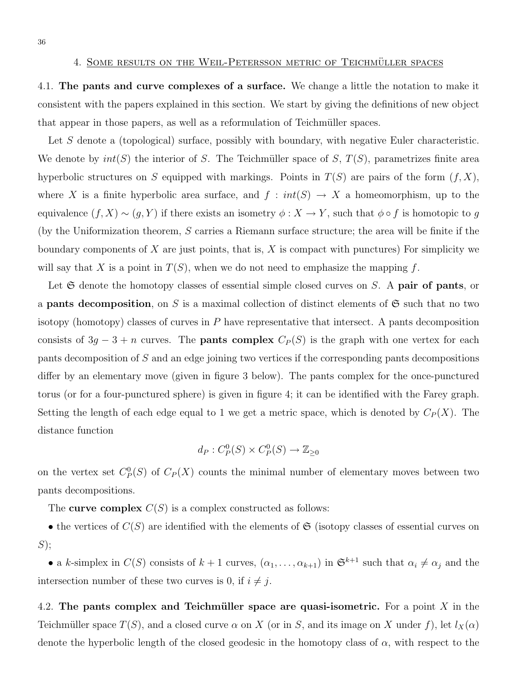4.1. The pants and curve complexes of a surface. We change a little the notation to make it consistent with the papers explained in this section. We start by giving the definitions of new object that appear in those papers, as well as a reformulation of Teichmüller spaces.

Let S denote a (topological) surface, possibly with boundary, with negative Euler characteristic. We denote by  $int(S)$  the interior of S. The Teichmüller space of S,  $T(S)$ , parametrizes finite area hyperbolic structures on S equipped with markings. Points in  $T(S)$  are pairs of the form  $(f, X)$ , where X is a finite hyperbolic area surface, and  $f : int(S) \to X$  a homeomorphism, up to the equivalence  $(f, X) \sim (g, Y)$  if there exists an isometry  $\phi : X \to Y$ , such that  $\phi \circ f$  is homotopic to g (by the Uniformization theorem,  $S$  carries a Riemann surface structure; the area will be finite if the boundary components of  $X$  are just points, that is,  $X$  is compact with punctures) For simplicity we will say that X is a point in  $T(S)$ , when we do not need to emphasize the mapping f.

Let  $\mathfrak S$  denote the homotopy classes of essential simple closed curves on S. A pair of pants, or a **pants decomposition**, on S is a maximal collection of distinct elements of  $\mathfrak{S}$  such that no two isotopy (homotopy) classes of curves in  $P$  have representative that intersect. A pants decomposition consists of  $3g - 3 + n$  curves. The **pants complex**  $C_P(S)$  is the graph with one vertex for each pants decomposition of S and an edge joining two vertices if the corresponding pants decompositions differ by an elementary move (given in figure 3 below). The pants complex for the once-punctured torus (or for a four-punctured sphere) is given in figure 4; it can be identified with the Farey graph. Setting the length of each edge equal to 1 we get a metric space, which is denoted by  $C_P(X)$ . The distance function

$$
d_P: C_P^0(S) \times C_P^0(S) \to \mathbb{Z}_{\geq 0}
$$

on the vertex set  $C_P^0(S)$  of  $C_P(X)$  counts the minimal number of elementary moves between two pants decompositions.

The curve complex  $C(S)$  is a complex constructed as follows:

• the vertices of  $C(S)$  are identified with the elements of  $\mathfrak{S}$  (isotopy classes of essential curves on  $S);$ 

• a k-simplex in  $C(S)$  consists of  $k + 1$  curves,  $(\alpha_1, \ldots, \alpha_{k+1})$  in  $\mathfrak{S}^{k+1}$  such that  $\alpha_i \neq \alpha_j$  and the intersection number of these two curves is 0, if  $i \neq j$ .

4.2. The pants complex and Teichmüller space are quasi-isometric. For a point  $X$  in the Teichmüller space  $T(S)$ , and a closed curve  $\alpha$  on X (or in S, and its image on X under f), let  $l_X(\alpha)$ denote the hyperbolic length of the closed geodesic in the homotopy class of  $\alpha$ , with respect to the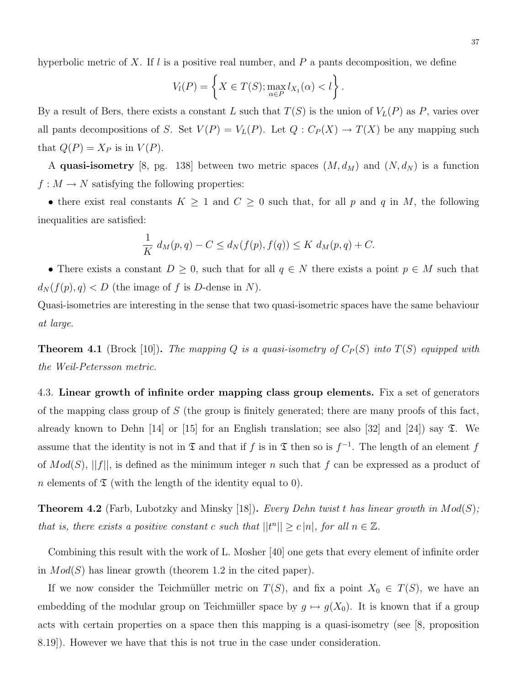hyperbolic metric of X. If  $l$  is a positive real number, and  $P$  a pants decomposition, we define

$$
V_l(P) = \left\{ X \in T(S); \max_{\alpha \in P} l_{X_1}(\alpha) < l \right\}.
$$

By a result of Bers, there exists a constant L such that  $T(S)$  is the union of  $V_L(P)$  as P, varies over all pants decompositions of S. Set  $V(P) = V_L(P)$ . Let  $Q: C_P(X) \to T(X)$  be any mapping such that  $Q(P) = X_P$  is in  $V(P)$ .

A quasi-isometry [8, pg. 138] between two metric spaces  $(M, d_M)$  and  $(N, d_N)$  is a function  $f: M \to N$  satisfying the following properties:

• there exist real constants  $K \geq 1$  and  $C \geq 0$  such that, for all p and q in M, the following inequalities are satisfied:

$$
\frac{1}{K} d_M(p,q) - C \le d_N(f(p), f(q)) \le K d_M(p,q) + C.
$$

• There exists a constant  $D \geq 0$ , such that for all  $q \in N$  there exists a point  $p \in M$  such that  $d_N(f(p), q) < D$  (the image of f is D-dense in N).

Quasi-isometries are interesting in the sense that two quasi-isometric spaces have the same behaviour at large.

**Theorem 4.1** (Brock [10]). The mapping Q is a quasi-isometry of  $C_P(S)$  into  $T(S)$  equipped with the Weil-Petersson metric.

4.3. Linear growth of infinite order mapping class group elements. Fix a set of generators of the mapping class group of  $S$  (the group is finitely generated; there are many proofs of this fact, already known to Dehn [14] or [15] for an English translation; see also [32] and [24]) say  $\mathfrak{T}$ . We assume that the identity is not in  $\mathfrak T$  and that if f is in  $\mathfrak T$  then so is  $f^{-1}$ . The length of an element f of  $Mod(S)$ , ||f||, is defined as the minimum integer n such that f can be expressed as a product of n elements of  $\mathfrak T$  (with the length of the identity equal to 0).

**Theorem 4.2** (Farb, Lubotzky and Minsky [18]). Every Dehn twist t has linear growth in  $Mod(S)$ ; that is, there exists a positive constant c such that  $||t^n|| \ge c |n|$ , for all  $n \in \mathbb{Z}$ .

Combining this result with the work of L. Mosher [40] one gets that every element of infinite order in  $Mod(S)$  has linear growth (theorem 1.2 in the cited paper).

If we now consider the Teichmüller metric on  $T(S)$ , and fix a point  $X_0 \in T(S)$ , we have an embedding of the modular group on Teichmüller space by  $g \mapsto g(X_0)$ . It is known that if a group acts with certain properties on a space then this mapping is a quasi-isometry (see [8, proposition 8.19]). However we have that this is not true in the case under consideration.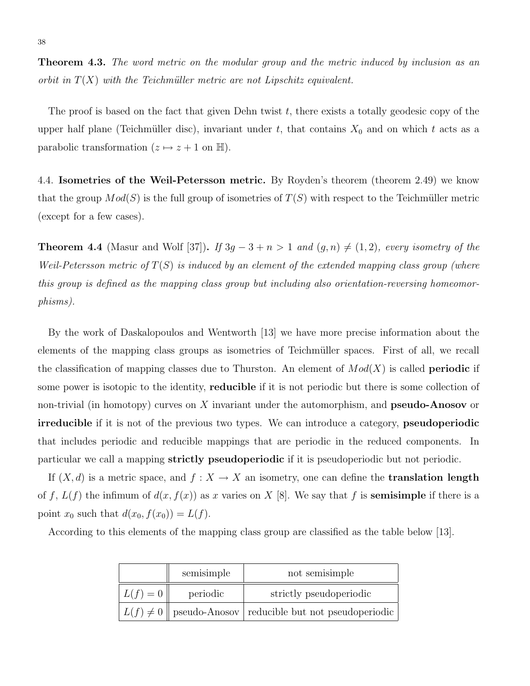**Theorem 4.3.** The word metric on the modular group and the metric induced by inclusion as an orbit in  $T(X)$  with the Teichmüller metric are not Lipschitz equivalent.

The proof is based on the fact that given Dehn twist  $t$ , there exists a totally geodesic copy of the upper half plane (Teichmüller disc), invariant under t, that contains  $X_0$  and on which t acts as a parabolic transformation  $(z \mapsto z + 1$  on H).

4.4. Isometries of the Weil-Petersson metric. By Royden's theorem (theorem 2.49) we know that the group  $Mod(S)$  is the full group of isometries of  $T(S)$  with respect to the Teichmüller metric (except for a few cases).

**Theorem 4.4** (Masur and Wolf [37]). If  $3g - 3 + n > 1$  and  $(g, n) \neq (1, 2)$ , every isometry of the Weil-Petersson metric of  $T(S)$  is induced by an element of the extended mapping class group (where this group is defined as the mapping class group but including also orientation-reversing homeomorphisms).

By the work of Daskalopoulos and Wentworth [13] we have more precise information about the elements of the mapping class groups as isometries of Teichmüller spaces. First of all, we recall the classification of mapping classes due to Thurston. An element of  $Mod(X)$  is called **periodic** if some power is isotopic to the identity, reducible if it is not periodic but there is some collection of non-trivial (in homotopy) curves on  $X$  invariant under the automorphism, and **pseudo-Anosov** or irreducible if it is not of the previous two types. We can introduce a category, pseudoperiodic that includes periodic and reducible mappings that are periodic in the reduced components. In particular we call a mapping strictly pseudoperiodic if it is pseudoperiodic but not periodic.

If  $(X, d)$  is a metric space, and  $f : X \to X$  an isometry, one can define the **translation length** of f,  $L(f)$  the infimum of  $d(x, f(x))$  as x varies on X [8]. We say that f is **semisimple** if there is a point  $x_0$  such that  $d(x_0, f(x_0)) = L(f)$ .

According to this elements of the mapping class group are classified as the table below [13].

|            | semisimple | not semisimple                                                 |
|------------|------------|----------------------------------------------------------------|
| $L(f) = 0$ | periodic   | strictly pseudoperiodic                                        |
|            |            | $ L(f) \neq 0 $ pseudo-Anosov reducible but not pseudoperiodic |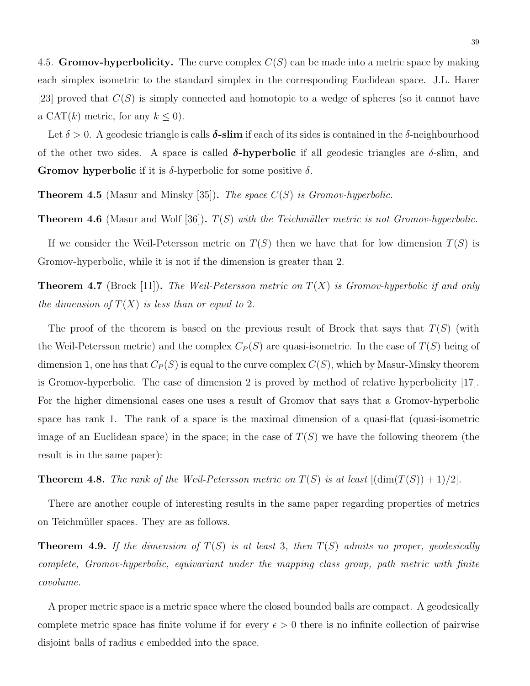4.5. Gromov-hyperbolicity. The curve complex  $C(S)$  can be made into a metric space by making each simplex isometric to the standard simplex in the corresponding Euclidean space. J.L. Harer [23] proved that  $C(S)$  is simply connected and homotopic to a wedge of spheres (so it cannot have a CAT(k) metric, for any  $k \leq 0$ ).

Let  $\delta > 0$ . A geodesic triangle is calls  $\delta$ **-slim** if each of its sides is contained in the  $\delta$ -neighbourhood of the other two sides. A space is called  $\delta$ -hyperbolic if all geodesic triangles are  $\delta$ -slim, and **Gromov hyperbolic** if it is  $\delta$ -hyperbolic for some positive  $\delta$ .

**Theorem 4.5** (Masur and Minsky [35]). The space  $C(S)$  is Gromov-hyperbolic.

**Theorem 4.6** (Masur and Wolf [36]).  $T(S)$  with the Teichmüller metric is not Gromov-hyperbolic.

If we consider the Weil-Petersson metric on  $T(S)$  then we have that for low dimension  $T(S)$  is Gromov-hyperbolic, while it is not if the dimension is greater than 2.

**Theorem 4.7** (Brock [11]). The Weil-Petersson metric on  $T(X)$  is Gromov-hyperbolic if and only the dimension of  $T(X)$  is less than or equal to 2.

The proof of the theorem is based on the previous result of Brock that says that  $T(S)$  (with the Weil-Petersson metric) and the complex  $C_P(S)$  are quasi-isometric. In the case of  $T(S)$  being of dimension 1, one has that  $C_P(S)$  is equal to the curve complex  $C(S)$ , which by Masur-Minsky theorem is Gromov-hyperbolic. The case of dimension 2 is proved by method of relative hyperbolicity [17]. For the higher dimensional cases one uses a result of Gromov that says that a Gromov-hyperbolic space has rank 1. The rank of a space is the maximal dimension of a quasi-flat (quasi-isometric image of an Euclidean space) in the space; in the case of  $T(S)$  we have the following theorem (the result is in the same paper):

**Theorem 4.8.** The rank of the Weil-Petersson metric on  $T(S)$  is at least  $[(\dim(T(S)) + 1)/2]$ .

There are another couple of interesting results in the same paper regarding properties of metrics on Teichmüller spaces. They are as follows.

**Theorem 4.9.** If the dimension of  $T(S)$  is at least 3, then  $T(S)$  admits no proper, geodesically complete, Gromov-hyperbolic, equivariant under the mapping class group, path metric with finite covolume.

A proper metric space is a metric space where the closed bounded balls are compact. A geodesically complete metric space has finite volume if for every  $\epsilon > 0$  there is no infinite collection of pairwise disjoint balls of radius  $\epsilon$  embedded into the space.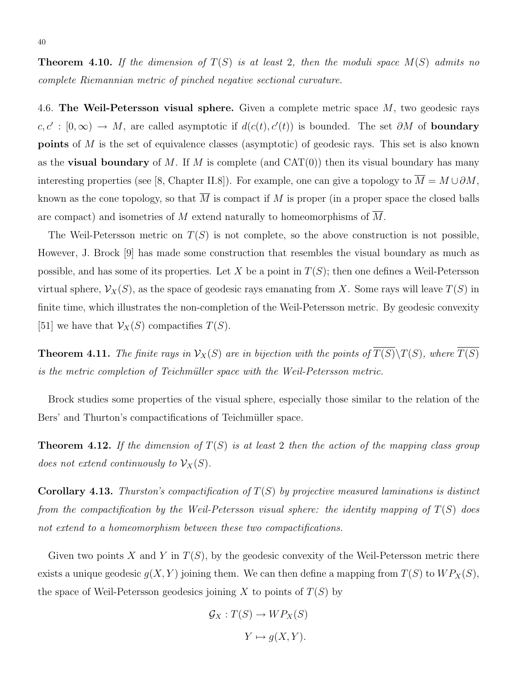4.6. The Weil-Petersson visual sphere. Given a complete metric space  $M$ , two geodesic rays  $c, c' : [0, \infty) \to M$ , are called asymptotic if  $d(c(t), c'(t))$  is bounded. The set  $\partial M$  of **boundary** points of M is the set of equivalence classes (asymptotic) of geodesic rays. This set is also known as the **visual boundary** of M. If M is complete (and  $CAT(0)$ ) then its visual boundary has many interesting properties (see [8, Chapter II.8]). For example, one can give a topology to  $\overline{M} = M \cup \partial M$ , known as the cone topology, so that  $\overline{M}$  is compact if M is proper (in a proper space the closed balls are compact) and isometries of M extend naturally to homeomorphisms of  $\overline{M}$ .

The Weil-Petersson metric on  $T(S)$  is not complete, so the above construction is not possible, However, J. Brock [9] has made some construction that resembles the visual boundary as much as possible, and has some of its properties. Let X be a point in  $T(S)$ ; then one defines a Weil-Petersson virtual sphere,  $\mathcal{V}_X(S)$ , as the space of geodesic rays emanating from X. Some rays will leave  $T(S)$  in finite time, which illustrates the non-completion of the Weil-Petersson metric. By geodesic convexity [51] we have that  $\mathcal{V}_X(S)$  compactifies  $T(S)$ .

**Theorem 4.11.** The finite rays in  $\mathcal{V}_X(S)$  are in bijection with the points of  $\overline{T(S)}\backslash T(S)$ , where  $\overline{T(S)}$ is the metric completion of Teichmüller space with the Weil-Petersson metric.

Brock studies some properties of the visual sphere, especially those similar to the relation of the Bers' and Thurton's compactifications of Teichmüller space.

**Theorem 4.12.** If the dimension of  $T(S)$  is at least 2 then the action of the mapping class group does not extend continuously to  $\mathcal{V}_X(S)$ .

**Corollary 4.13.** Thurston's compactification of  $T(S)$  by projective measured laminations is distinct from the compactification by the Weil-Petersson visual sphere: the identity mapping of  $T(S)$  does not extend to a homeomorphism between these two compactifications.

Given two points X and Y in  $T(S)$ , by the geodesic convexity of the Weil-Petersson metric there exists a unique geodesic  $g(X, Y)$  joining them. We can then define a mapping from  $T(S)$  to  $WP_X(S)$ , the space of Weil-Petersson geodesics joining X to points of  $T(S)$  by

$$
\mathcal{G}_X : T(S) \to WP_X(S)
$$

$$
Y \mapsto g(X, Y).
$$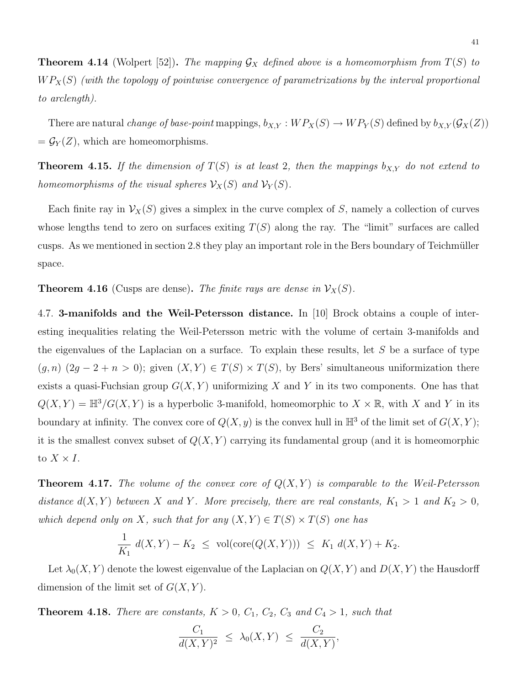**Theorem 4.14** (Wolpert [52]). The mapping  $\mathcal{G}_X$  defined above is a homeomorphism from  $T(S)$  to  $WP_X(S)$  (with the topology of pointwise convergence of parametrizations by the interval proportional to arclength).

There are natural *change of base-point* mappings,  $b_{X,Y} : WP_X(S) \to WP_Y(S)$  defined by  $b_{X,Y}(\mathcal{G}_X(Z))$  $=\mathcal{G}_Y(Z)$ , which are homeomorphisms.

**Theorem 4.15.** If the dimension of  $T(S)$  is at least 2, then the mappings  $b_{X,Y}$  do not extend to homeomorphisms of the visual spheres  $\mathcal{V}_X(S)$  and  $\mathcal{V}_Y(S)$ .

Each finite ray in  $\mathcal{V}_X(S)$  gives a simplex in the curve complex of S, namely a collection of curves whose lengths tend to zero on surfaces exiting  $T(S)$  along the ray. The "limit" surfaces are called cusps. As we mentioned in section 2.8 they play an important role in the Bers boundary of Teichmüller space.

**Theorem 4.16** (Cusps are dense). The finite rays are dense in  $V_X(S)$ .

4.7. 3-manifolds and the Weil-Petersson distance. In [10] Brock obtains a couple of interesting inequalities relating the Weil-Petersson metric with the volume of certain 3-manifolds and the eigenvalues of the Laplacian on a surface. To explain these results, let  $S$  be a surface of type  $(g, n)$   $(2g - 2 + n > 0)$ ; given  $(X, Y) \in T(S) \times T(S)$ , by Bers' simultaneous uniformization there exists a quasi-Fuchsian group  $G(X, Y)$  uniformizing X and Y in its two components. One has that  $Q(X, Y) = \mathbb{H}^3/G(X, Y)$  is a hyperbolic 3-manifold, homeomorphic to  $X \times \mathbb{R}$ , with X and Y in its boundary at infinity. The convex core of  $Q(X, y)$  is the convex hull in  $\mathbb{H}^3$  of the limit set of  $G(X, Y)$ ; it is the smallest convex subset of  $Q(X, Y)$  carrying its fundamental group (and it is homeomorphic to  $X \times I$ .

**Theorem 4.17.** The volume of the convex core of  $Q(X, Y)$  is comparable to the Weil-Petersson distance  $d(X, Y)$  between X and Y. More precisely, there are real constants,  $K_1 > 1$  and  $K_2 > 0$ , which depend only on X, such that for any  $(X, Y) \in T(S) \times T(S)$  one has

$$
\frac{1}{K_1} d(X, Y) - K_2 \leq \text{vol}(\text{core}(Q(X, Y))) \leq K_1 d(X, Y) + K_2.
$$

Let  $\lambda_0(X, Y)$  denote the lowest eigenvalue of the Laplacian on  $Q(X, Y)$  and  $D(X, Y)$  the Hausdorff dimension of the limit set of  $G(X, Y)$ .

**Theorem 4.18.** There are constants,  $K > 0$ ,  $C_1$ ,  $C_2$ ,  $C_3$  and  $C_4 > 1$ , such that

$$
\frac{C_1}{d(X,Y)^2} \leq \lambda_0(X,Y) \leq \frac{C_2}{d(X,Y)},
$$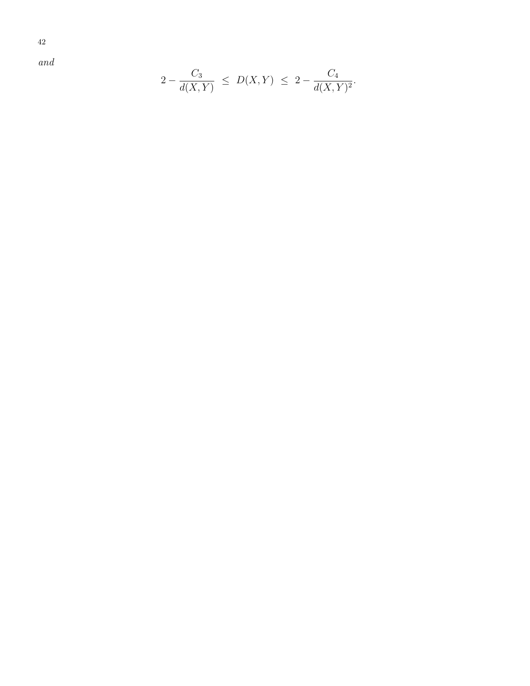42

and

$$
2 - \frac{C_3}{d(X,Y)} \le D(X,Y) \le 2 - \frac{C_4}{d(X,Y)^2}.
$$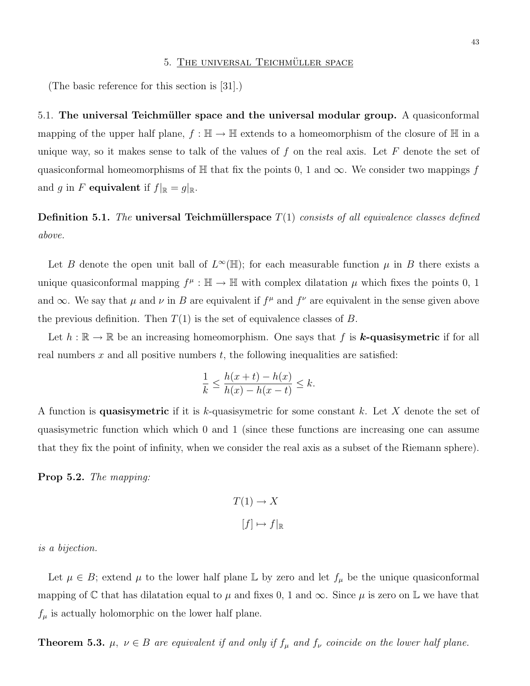(The basic reference for this section is [31].)

5.1. The universal Teichmüller space and the universal modular group. A quasiconformal mapping of the upper half plane,  $f : \mathbb{H} \to \mathbb{H}$  extends to a homeomorphism of the closure of  $\mathbb{H}$  in a unique way, so it makes sense to talk of the values of  $f$  on the real axis. Let  $F$  denote the set of quasiconformal homeomorphisms of  $\mathbb H$  that fix the points 0, 1 and  $\infty$ . We consider two mappings f and g in F equivalent if  $f|_{\mathbb{R}} = g|_{\mathbb{R}}$ .

**Definition 5.1.** The universal Teichmüllerspace  $T(1)$  consists of all equivalence classes defined above.

Let B denote the open unit ball of  $L^{\infty}(\mathbb{H})$ ; for each measurable function  $\mu$  in B there exists a unique quasiconformal mapping  $f^{\mu} : \mathbb{H} \to \mathbb{H}$  with complex dilatation  $\mu$  which fixes the points 0, 1 and  $\infty$ . We say that  $\mu$  and  $\nu$  in B are equivalent if  $f^{\mu}$  and  $f^{\nu}$  are equivalent in the sense given above the previous definition. Then  $T(1)$  is the set of equivalence classes of B.

Let  $h : \mathbb{R} \to \mathbb{R}$  be an increasing homeomorphism. One says that f is **k-quasisymetric** if for all real numbers  $x$  and all positive numbers  $t$ , the following inequalities are satisfied:

$$
\frac{1}{k} \le \frac{h(x+t) - h(x)}{h(x) - h(x-t)} \le k.
$$

A function is **quasisymetric** if it is k-quasisymetric for some constant k. Let X denote the set of quasisymetric function which which 0 and 1 (since these functions are increasing one can assume that they fix the point of infinity, when we consider the real axis as a subset of the Riemann sphere).

Prop 5.2. The mapping:

$$
T(1) \to X
$$

$$
[f] \mapsto f|_{\mathbb{R}}
$$

is a bijection.

Let  $\mu \in B$ ; extend  $\mu$  to the lower half plane L by zero and let  $f_{\mu}$  be the unique quasiconformal mapping of  $\mathbb C$  that has dilatation equal to  $\mu$  and fixes 0, 1 and  $\infty$ . Since  $\mu$  is zero on  $\mathbb L$  we have that  $f_{\mu}$  is actually holomorphic on the lower half plane.

**Theorem 5.3.**  $\mu$ ,  $\nu \in B$  are equivalent if and only if  $f_{\mu}$  and  $f_{\nu}$  coincide on the lower half plane.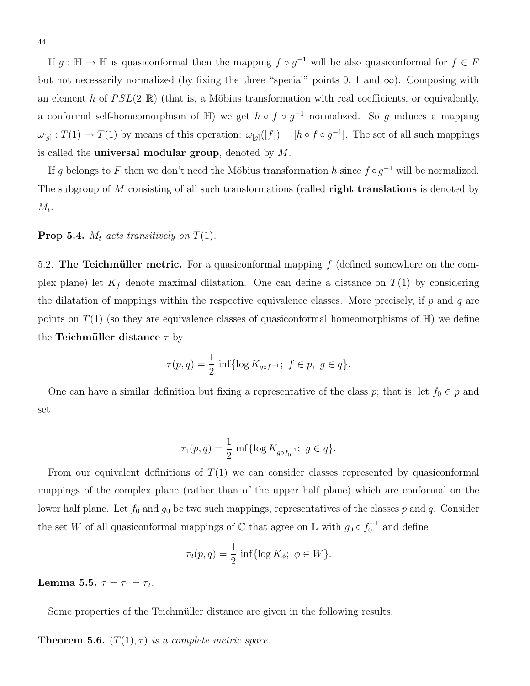If  $g : \mathbb{H} \to \mathbb{H}$  is quasiconformal then the mapping  $f \circ g^{-1}$  will be also quasiconformal for  $f \in F$ but not necessarily normalized (by fixing the three "special" points 0, 1 and  $\infty$ ). Composing with an element h of  $PSL(2,\mathbb{R})$  (that is, a Möbius transformation with real coefficients, or equivalently, a conformal self-homeomorphism of  $\mathbb{H}$ ) we get  $h \circ f \circ g^{-1}$  normalized. So g induces a mapping  $\omega_{[g]}: T(1) \to T(1)$  by means of this operation:  $\omega_{[g]}([f]) = [h \circ f \circ g^{-1}]$ . The set of all such mappings is called the **universal modular group**, denoted by  $M$ .

If g belongs to F then we don't need the Möbius transformation h since  $f \circ g^{-1}$  will be normalized. The subgroup of M consisting of all such transformations (called **right translations** is denoted by  $M_t$ .

#### **Prop 5.4.**  $M_t$  acts transitively on  $T(1)$ .

5.2. The Teichmüller metric. For a quasiconformal mapping  $f$  (defined somewhere on the complex plane) let  $K_f$  denote maximal dilatation. One can define a distance on  $T(1)$  by considering the dilatation of mappings within the respective equivalence classes. More precisely, if  $p$  and  $q$  are points on  $T(1)$  (so they are equivalence classes of quasiconformal homeomorphisms of  $\mathbb{H}$ ) we define the Teichmüller distance  $\tau$  by

$$
\tau(p,q) = \frac{1}{2} \inf \{ \log K_{g \circ f^{-1}}; f \in p, g \in q \}.
$$

One can have a similar definition but fixing a representative of the class p; that is, let  $f_0 \in p$  and set

$$
\tau_1(p,q) = \frac{1}{2} \inf \{ \log K_{g \circ f_0^{-1}}; \ g \in q \}.
$$

From our equivalent definitions of  $T(1)$  we can consider classes represented by quasiconformal mappings of the complex plane (rather than of the upper half plane) which are conformal on the lower half plane. Let  $f_0$  and  $g_0$  be two such mappings, representatives of the classes p and q. Consider the set W of all quasiconformal mappings of  $\mathbb C$  that agree on  $\mathbb L$  with  $g_0 \circ f_0^{-1}$  and define

$$
\tau_2(p,q) = \frac{1}{2} \inf \{ \log K_{\phi}; \ \phi \in W \}.
$$

Lemma 5.5.  $\tau = \tau_1 = \tau_2$ .

Some properties of the Teichmüller distance are given in the following results.

**Theorem 5.6.**  $(T(1), \tau)$  is a complete metric space.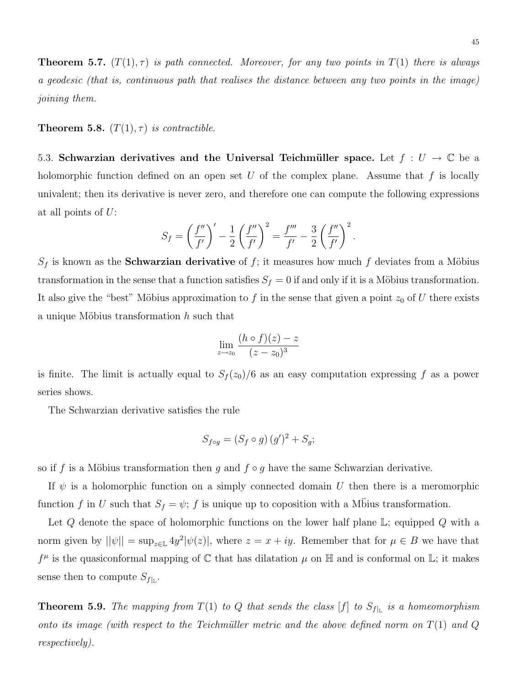**Theorem 5.7.**  $(T(1), \tau)$  is path connected. Moreover, for any two points in  $T(1)$  there is always a geodesic (that is, continuous path that realises the distance between any two points in the image) joining them.

**Theorem 5.8.**  $(T(1), \tau)$  is contractible.

5.3. Schwarzian derivatives and the Universal Teichmüller space. Let  $f: U \to \mathbb{C}$  be a holomorphic function defined on an open set  $U$  of the complex plane. Assume that  $f$  is locally univalent; then its derivative is never zero, and therefore one can compute the following expressions at all points of U:

$$
S_f = \left(\frac{f''}{f'}\right)' - \frac{1}{2} \left(\frac{f''}{f'}\right)^2 = \frac{f'''}{f'} - \frac{3}{2} \left(\frac{f''}{f'}\right)^2.
$$

 $S_f$  is known as the **Schwarzian derivative** of f; it measures how much f deviates from a Möbius transformation in the sense that a function satisfies  $S_f = 0$  if and only if it is a Möbius transformation. It also give the "best" Möbius approximation to f in the sense that given a point  $z_0$  of U there exists a unique Möbius transformation  $h$  such that

$$
\lim_{z \to z_0} \frac{(h \circ f)(z) - z}{(z - z_0)^3}
$$

is finite. The limit is actually equal to  $S_f(z_0)/6$  as an easy computation expressing f as a power series shows.

The Schwarzian derivative satisfies the rule

$$
S_{f \circ g} = (S_f \circ g) (g')^2 + S_g;
$$

so if f is a Möbius transformation then g and  $f \circ g$  have the same Schwarzian derivative.

If  $\psi$  is a holomorphic function on a simply connected domain U then there is a meromorphic function f in U such that  $S_f = \psi$ ; f is unique up to coposition with a Mbius transformation.

Let  $Q$  denote the space of holomorphic functions on the lower half plane  $\mathbb{L}$ ; equipped  $Q$  with a norm given by  $||\psi|| = \sup_{z \in \mathbb{L}} 4y^2 |\psi(z)|$ , where  $z = x + iy$ . Remember that for  $\mu \in B$  we have that  $f^{\mu}$  is the quasiconformal mapping of C that has dilatation  $\mu$  on H and is conformal on L; it makes sense then to compute  $S_{f|_{\mathbb{L}}}$ .

**Theorem 5.9.** The mapping from  $T(1)$  to Q that sends the class  $[f]$  to  $S_{f|_L}$  is a homeomorphism onto its image (with respect to the Teichmüller metric and the above defined norm on  $T(1)$  and Q respectively).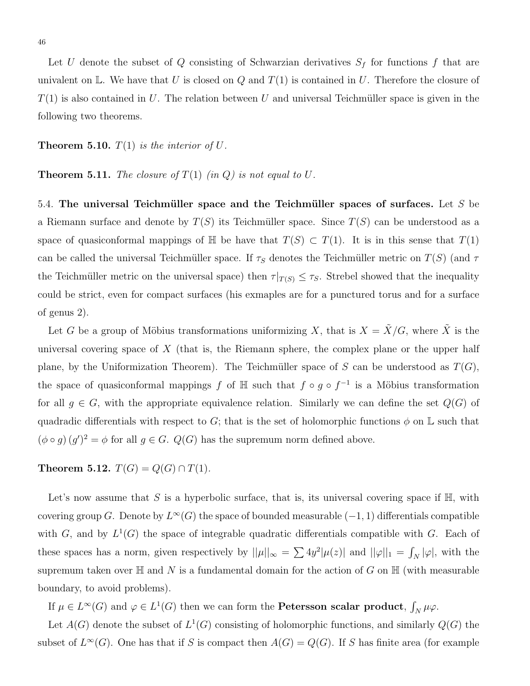Let U denote the subset of Q consisting of Schwarzian derivatives  $S_f$  for functions f that are univalent on  $\mathbb{L}$ . We have that U is closed on Q and  $T(1)$  is contained in U. Therefore the closure of  $T(1)$  is also contained in U. The relation between U and universal Teichmüller space is given in the following two theorems.

**Theorem 5.10.**  $T(1)$  is the interior of U.

**Theorem 5.11.** The closure of  $T(1)$  (in Q) is not equal to U.

5.4. The universal Teichmüller space and the Teichmüller spaces of surfaces. Let  $S$  be a Riemann surface and denote by  $T(S)$  its Teichmüller space. Since  $T(S)$  can be understood as a space of quasiconformal mappings of  $\mathbb H$  be have that  $T(S) \subset T(1)$ . It is in this sense that  $T(1)$ can be called the universal Teichmüller space. If  $\tau_s$  denotes the Teichmüller metric on  $T(S)$  (and  $\tau$ the Teichmüller metric on the universal space) then  $\tau|_{T(S)} \leq \tau_S$ . Strebel showed that the inequality could be strict, even for compact surfaces (his exmaples are for a punctured torus and for a surface of genus 2).

Let G be a group of Möbius transformations uniformizing X, that is  $X = \tilde{X}/G$ , where  $\tilde{X}$  is the universal covering space of  $X$  (that is, the Riemann sphere, the complex plane or the upper half plane, by the Uniformization Theorem). The Teichmüller space of S can be understood as  $T(G)$ , the space of quasiconformal mappings f of  $\mathbb H$  such that  $f \circ g \circ f^{-1}$  is a Möbius transformation for all  $g \in G$ , with the appropriate equivalence relation. Similarly we can define the set  $Q(G)$  of quadradic differentials with respect to G; that is the set of holomorphic functions  $\phi$  on L such that  $(\phi \circ g)(g')^2 = \phi$  for all  $g \in G$ .  $Q(G)$  has the supremum norm defined above.

Theorem 5.12.  $T(G) = Q(G) \cap T(1)$ .

Let's now assume that S is a hyperbolic surface, that is, its universal covering space if  $\mathbb{H}$ , with covering group G. Denote by  $L^{\infty}(G)$  the space of bounded measurable  $(-1, 1)$  differentials compatible with G, and by  $L^1(G)$  the space of integrable quadratic differentials compatible with G. Each of these spaces has a norm, given respectively by  $||\mu||_{\infty} = \sum 4y^2 |\mu(z)|$  and  $||\varphi||_1 = \int_N |\varphi|$ , with the supremum taken over  $\mathbb H$  and N is a fundamental domain for the action of G on  $\mathbb H$  (with measurable boundary, to avoid problems).

If  $\mu \in L^{\infty}(G)$  and  $\varphi \in L^{1}(G)$  then we can form the **Petersson scalar product**,  $\int_{N} \mu \varphi$ .

Let  $A(G)$  denote the subset of  $L^1(G)$  consisting of holomorphic functions, and similarly  $Q(G)$  the subset of  $L^{\infty}(G)$ . One has that if S is compact then  $A(G) = Q(G)$ . If S has finite area (for example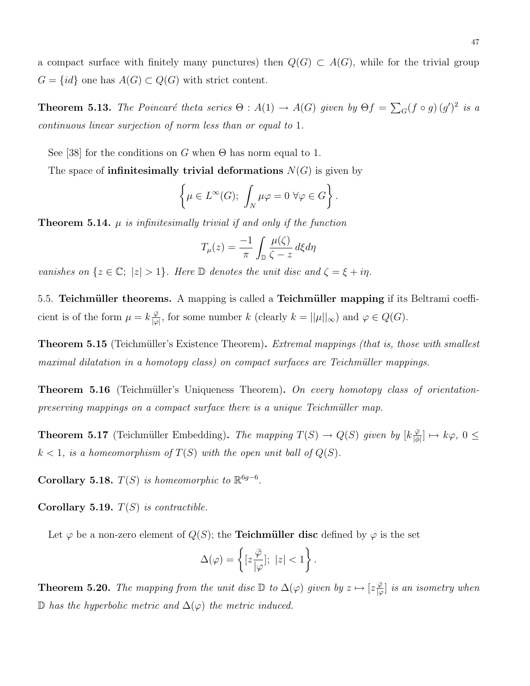a compact surface with finitely many punctures) then  $Q(G) \subset A(G)$ , while for the trivial group  $G = \{id\}$  one has  $A(G) \subset Q(G)$  with strict content.

**Theorem 5.13.** The Poincaré theta series  $\Theta : A(1) \to A(G)$  given by  $\Theta f = \sum_G (f \circ g)(g')^2$  is a continuous linear surjection of norm less than or equal to 1.

See [38] for the conditions on G when  $\Theta$  has norm equal to 1.

The space of **infinitesimally trivial deformations**  $N(G)$  is given by

$$
\left\{\mu \in L^{\infty}(G); \int_{N} \mu \varphi = 0 \,\forall \varphi \in G\right\}.
$$

**Theorem 5.14.**  $\mu$  is infinitesimally trivial if and only if the function

$$
T_{\mu}(z) = \frac{-1}{\pi} \int_{\mathbb{D}} \frac{\mu(\zeta)}{\zeta - z} d\xi d\eta
$$

vanishes on  $\{z \in \mathbb{C}; |z| > 1\}$ . Here  $\mathbb D$  denotes the unit disc and  $\zeta = \xi + i\eta$ .

5.5. Teichmüller theorems. A mapping is called a Teichmüller mapping if its Beltrami coefficient is of the form  $\mu = k \frac{\bar{\varphi}}{\log n}$  $\frac{\varphi}{|\varphi|}$ , for some number k (clearly  $k = ||\mu||_{\infty}$ ) and  $\varphi \in Q(G)$ .

**Theorem 5.15** (Teichmüller's Existence Theorem). Extremal mappings (that is, those with smallest maximal dilatation in a homotopy class) on compact surfaces are Teichmüller mappings.

**Theorem 5.16** (Teichmüller's Uniqueness Theorem). On every homotopy class of orientationpreserving mappings on a compact surface there is a unique Teichmüller map.

**Theorem 5.17** (Teichmüller Embedding). The mapping  $T(S) \to Q(S)$  given by  $\left[k\frac{\bar{\varphi}}{\bar{b}}\right]$  $\frac{\varphi}{|\phi|}$   $\mapsto k\varphi, 0 \leq$  $k < 1$ , is a homeomorphism of  $T(S)$  with the open unit ball of  $Q(S)$ .

Corollary 5.18.  $T(S)$  is homeomorphic to  $\mathbb{R}^{6g-6}$ .

Corollary 5.19.  $T(S)$  is contractible.

Let  $\varphi$  be a non-zero element of  $Q(S)$ ; the **Teichmüller disc** defined by  $\varphi$  is the set

$$
\Delta(\varphi) = \left\{ [z\frac{\overline{\varphi}}{|\varphi|}; \ |z| < 1 \right\}.
$$

**Theorem 5.20.** The mapping from the unit disc  $\mathbb{D}$  to  $\Delta(\varphi)$  given by  $z \mapsto [z\frac{\bar{\varphi}}{\omega}]$  $\frac{\varphi}{\varphi}$  is an isometry when D has the hyperbolic metric and  $\Delta$ ( $\varphi$ ) the metric induced.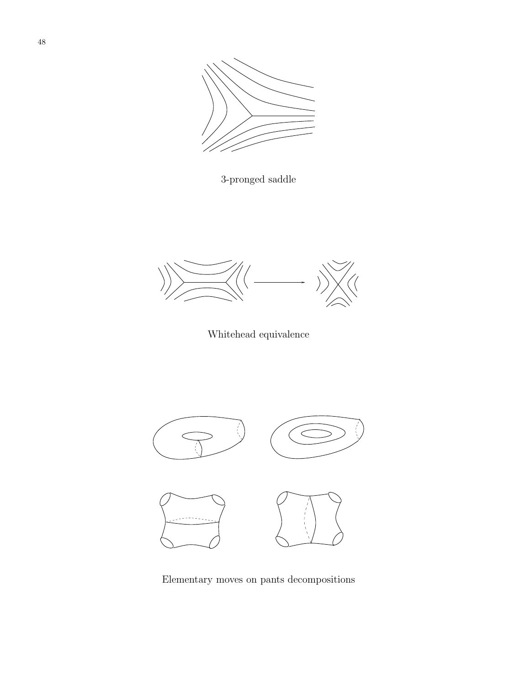

3-pronged saddle



Whitehead equivalence



Elementary moves on pants decompositions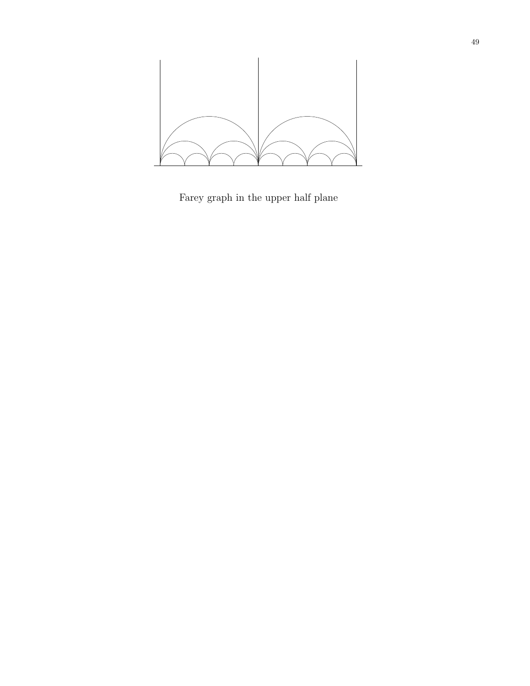

Farey graph in the upper half plane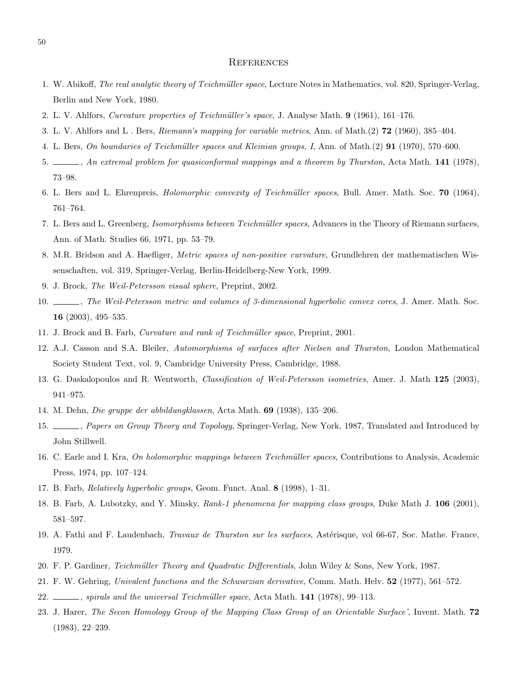#### **REFERENCES**

- 1. W. Abikoff, The real analytic theory of Teichmüller space, Lecture Notes in Mathematics, vol. 820, Springer-Verlag, Berlin and New York, 1980.
- 2. L. V. Ahlfors, Curvature properties of Teichmüller's space, J. Analyse Math. 9 (1961), 161–176.
- 3. L. V. Ahlfors and L . Bers, Riemann's mapping for variable metrics, Ann. of Math.(2) 72 (1960), 385–404.
- 4. L. Bers, On boundaries of Teichmüller spaces and Kleinian groups, I, Ann. of Math.(2) 91 (1970), 570–600.
- 5. , An extremal problem for quasiconformal mappings and a theorem by Thurston, Acta Math. 141 (1978), 73–98.
- 6. L. Bers and L. Ehrenpreis, *Holomorphic convexity of Teichmüller spaces*, Bull. Amer. Math. Soc. 70 (1964), 761–764.
- 7. L. Bers and L. Greenberg, Isomorphisms between Teichmüller spaces, Advances in the Theory of Riemann surfaces, Ann. of Math. Studies 66, 1971, pp. 53–79.
- 8. M.R. Bridson and A. Haefliger, Metric spaces of non-positive curvature, Grundlehren der mathematischen Wissenschaften, vol. 319, Springer-Verlag, Berlin-Heidelberg-New York, 1999.
- 9. J. Brock, The Weil-Petersson visual sphere, Preprint, 2002.
- 10.  $\_\_\_\_\_\$ n. The Weil-Petersson metric and volumes of 3-dimensional hyperbolic convex cores, J. Amer. Math. Soc. 16 (2003), 495–535.
- 11. J. Brock and B. Farb, *Curvature and rank of Teichmüller space*, Preprint, 2001.
- 12. A.J. Casson and S.A. Bleiler, Automorphisms of surfaces after Nielsen and Thurston, London Mathematical Society Student Text, vol. 9, Cambridge University Press, Cambridge, 1988.
- 13. G. Daskalopoulos and R. Wentworth, Classification of Weil-Petersson isometries, Amer. J. Math 125 (2003), 941–975.
- 14. M. Dehn, Die gruppe der abbildungklassen, Acta Math. 69 (1938), 135–206.
- 15.  $\_\_\_\_\_\$ ners on Group Theory and Topology, Springer-Verlag, New York, 1987, Translated and Introduced by John Stillwell.
- 16. C. Earle and I. Kra, On holomorphic mappings between Teichmüller spaces, Contributions to Analysis, Academic Press, 1974, pp. 107–124.
- 17. B. Farb, Relatively hyperbolic groups, Geom. Funct. Anal. 8 (1998), 1–31.
- 18. B. Farb, A. Lubotzky, and Y. Minsky, Rank-1 phenomena for mapping class groups, Duke Math J. 106 (2001), 581–597.
- 19. A. Fathi and F. Laudenbach, *Travaux de Thurston sur les surfaces*, Astérisque, vol 66-67, Soc. Mathe. France, 1979.
- 20. F. P. Gardiner, Teichmüller Theory and Quadratic Differentials, John Wiley & Sons, New York, 1987.
- 21. F. W. Gehring, Univalent functions and the Schwarzian derivative, Comm. Math. Helv. 52 (1977), 561–572.
- 22. Spirals and the universal Teichmüller space, Acta Math. 141 (1978), 99-113.
- 23. J. Harer, The Secon Homology Group of the Mapping Class Group of an Orientable Surface', Invent. Math. 72 (1983), 22–239.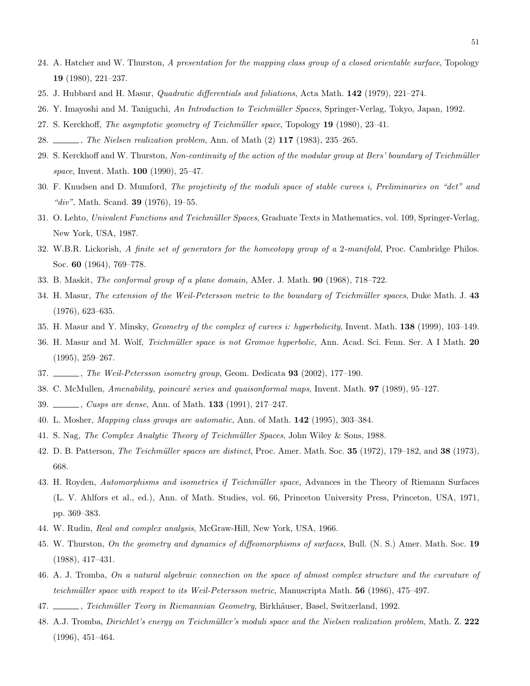- 24. A. Hatcher and W. Thurston, A presentation for the mapping class group of a closed orientable surface, Topology 19 (1980), 221–237.
- 25. J. Hubbard and H. Masur, Quadratic differentials and foliations, Acta Math. 142 (1979), 221–274.
- 26. Y. Imayoshi and M. Taniguchi, An Introduction to Teichm¨uller Spaces, Springer-Verlag, Tokyo, Japan, 1992.
- 27. S. Kerckhoff, The asymptotic geometry of Teichm¨uller space, Topology 19 (1980), 23–41.
- 28. *The Nielsen realization problem*, Ann. of Math (2) 117 (1983), 235–265.
- 29. S. Kerckhoff and W. Thurston, Non-continuity of the action of the modular group at Bers' boundary of Teichmüller space, Invent. Math. **100** (1990), 25–47.
- 30. F. Knudsen and D. Mumford, The projetivity of the moduli space of stable curves i, Preliminaries on "det" and "div", Math. Scand. **39** (1976), 19–55.
- 31. O. Lehto, Univalent Functions and Teichmüller Spaces, Graduate Texts in Mathematics, vol. 109, Springer-Verlag, New York, USA, 1987.
- 32. W.B.R. Lickorish, A finite set of generators for the homeotopy group of a 2-manifold, Proc. Cambridge Philos. Soc. 60 (1964), 769–778.
- 33. B. Maskit, The conformal group of a plane domain, AMer. J. Math. 90 (1968), 718–722.
- 34. H. Masur, The extension of the Weil-Petersson metric to the boundary of Teichmüller spaces, Duke Math. J. 43 (1976), 623–635.
- 35. H. Masur and Y. Minsky, Geometry of the complex of curves i: hyperbolicity, Invent. Math. 138 (1999), 103–149.
- 36. H. Masur and M. Wolf, Teichmüller space is not Gromov hyperbolic, Ann. Acad. Sci. Fenn. Ser. A I Math. 20 (1995), 259–267.
- 37. , The Weil-Petersson isometry group, Geom. Dedicata 93 (2002), 177-190.
- 38. C. McMullen, Amenability, poincaré series and quaisonformal maps, Invent. Math. **97** (1989), 95–127.
- 39. *Cusps are dense*, Ann. of Math. **133** (1991), 217-247.
- 40. L. Mosher, Mapping class groups are automatic, Ann. of Math. 142 (1995), 303–384.
- 41. S. Nag, The Complex Analytic Theory of Teichmüller Spaces, John Wiley & Sons, 1988.
- 42. D. B. Patterson, *The Teichmüller spaces are distinct*, Proc. Amer. Math. Soc. 35 (1972), 179–182, and 38 (1973), 668.
- 43. H. Royden, Automorphisms and isometries if Teichmüller space, Advances in the Theory of Riemann Surfaces (L. V. Ahlfors et al., ed.), Ann. of Math. Studies, vol. 66, Princeton University Press, Princeton, USA, 1971, pp. 369–383.
- 44. W. Rudin, Real and complex analysis, McGraw-Hill, New York, USA, 1966.
- 45. W. Thurston, On the geometry and dynamics of diffeomorphisms of surfaces, Bull. (N. S.) Amer. Math. Soc. 19 (1988), 417–431.
- 46. A. J. Tromba, On a natural algebraic connection on the space of almost complex structure and the curvature of teichmüller space with respect to its Weil-Petersson metric, Manuscripta Math.  $56$  (1986), 475–497.
- 47. , Teichmüller Teory in Riemannian Geometry, Birkhäuser, Basel, Switzerland, 1992.
- 48. A.J. Tromba, Dirichlet's energy on Teichmüller's moduli space and the Nielsen realization problem, Math. Z. 222 (1996), 451–464.